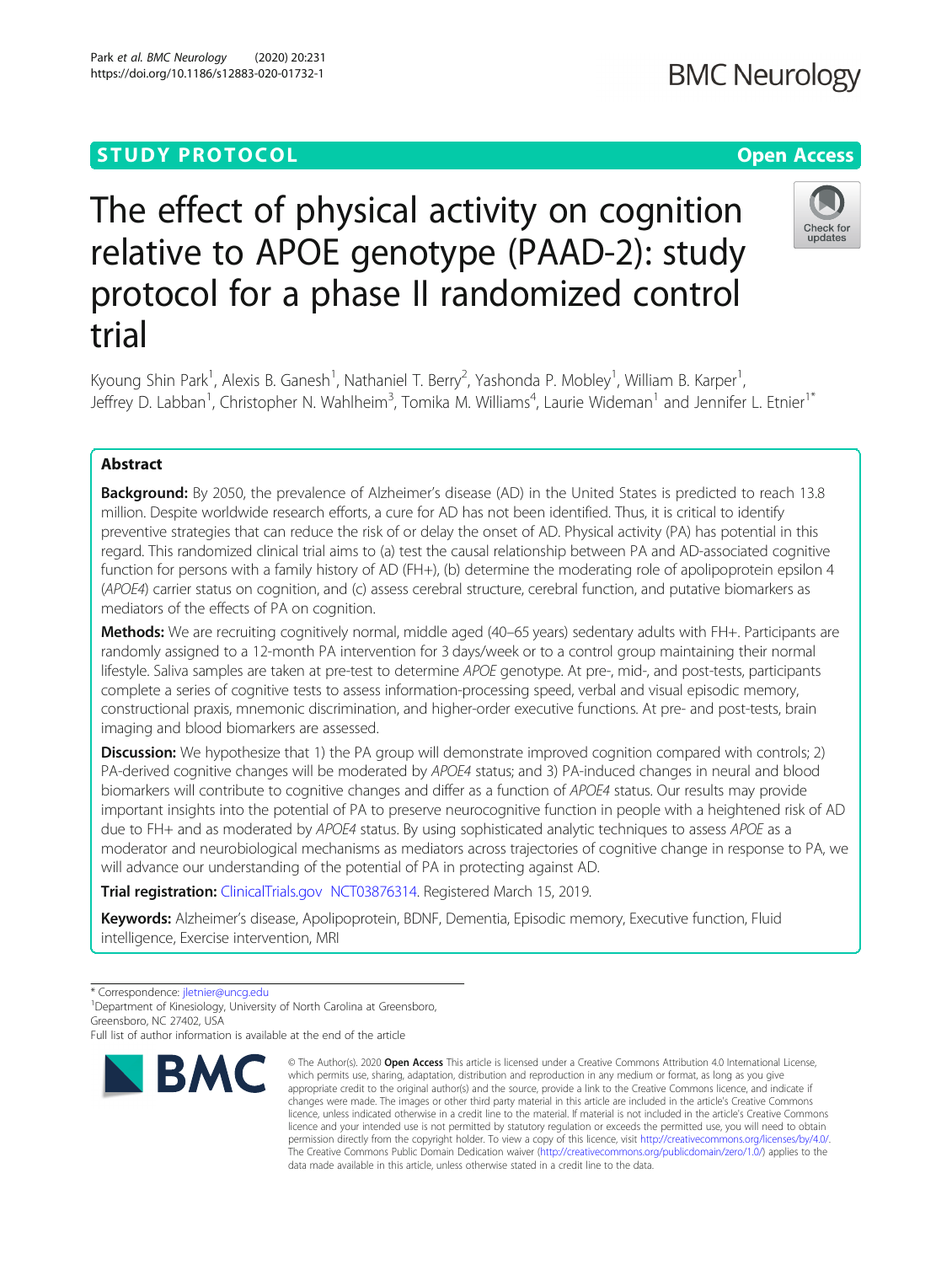# **STUDY PROTOCOL CONSUMING THE RESERVE ACCESS**

# The effect of physical activity on cognition relative to APOE genotype (PAAD-2): study protocol for a phase II randomized control trial

Kyoung Shin Park<sup>1</sup>, Alexis B. Ganesh<sup>1</sup>, Nathaniel T. Berry<sup>2</sup>, Yashonda P. Mobley<sup>1</sup>, William B. Karper<sup>1</sup> , Jeffrey D. Labban<sup>1</sup>, Christopher N. Wahlheim<sup>3</sup>, Tomika M. Williams<sup>4</sup>, Laurie Wideman<sup>1</sup> and Jennifer L. Etnier<sup>1\*</sup>

# Abstract

**Background:** By 2050, the prevalence of Alzheimer's disease (AD) in the United States is predicted to reach 13.8 million. Despite worldwide research efforts, a cure for AD has not been identified. Thus, it is critical to identify preventive strategies that can reduce the risk of or delay the onset of AD. Physical activity (PA) has potential in this regard. This randomized clinical trial aims to (a) test the causal relationship between PA and AD-associated cognitive function for persons with a family history of AD (FH+), (b) determine the moderating role of apolipoprotein epsilon 4 (APOE4) carrier status on cognition, and (c) assess cerebral structure, cerebral function, and putative biomarkers as mediators of the effects of PA on cognition.

Methods: We are recruiting cognitively normal, middle aged (40–65 years) sedentary adults with FH+. Participants are randomly assigned to a 12-month PA intervention for 3 days/week or to a control group maintaining their normal lifestyle. Saliva samples are taken at pre-test to determine APOE genotype. At pre-, mid-, and post-tests, participants complete a series of cognitive tests to assess information-processing speed, verbal and visual episodic memory, constructional praxis, mnemonic discrimination, and higher-order executive functions. At pre- and post-tests, brain imaging and blood biomarkers are assessed.

**Discussion:** We hypothesize that 1) the PA group will demonstrate improved cognition compared with controls; 2) PA-derived cognitive changes will be moderated by APOE4 status; and 3) PA-induced changes in neural and blood biomarkers will contribute to cognitive changes and differ as a function of APOE4 status. Our results may provide important insights into the potential of PA to preserve neurocognitive function in people with a heightened risk of AD due to FH+ and as moderated by APOE4 status. By using sophisticated analytic techniques to assess APOE as a moderator and neurobiological mechanisms as mediators across trajectories of cognitive change in response to PA, we will advance our understanding of the potential of PA in protecting against AD.

**Trial registration:** [ClinicalTrials.gov](http://clinicaltrials.gov) [NCT03876314.](https://clinicaltrials.gov/ct2/show/NCT03876314) Registered March 15, 2019.

Keywords: Alzheimer's disease, Apolipoprotein, BDNF, Dementia, Episodic memory, Executive function, Fluid intelligence, Exercise intervention, MRI

<sup>1</sup>Department of Kinesiology, University of North Carolina at Greensboro, Greensboro, NC 27402, USA



<sup>©</sup> The Author(s), 2020 **Open Access** This article is licensed under a Creative Commons Attribution 4.0 International License, which permits use, sharing, adaptation, distribution and reproduction in any medium or format, as long as you give appropriate credit to the original author(s) and the source, provide a link to the Creative Commons licence, and indicate if changes were made. The images or other third party material in this article are included in the article's Creative Commons licence, unless indicated otherwise in a credit line to the material. If material is not included in the article's Creative Commons licence and your intended use is not permitted by statutory regulation or exceeds the permitted use, you will need to obtain permission directly from the copyright holder. To view a copy of this licence, visit [http://creativecommons.org/licenses/by/4.0/.](http://creativecommons.org/licenses/by/4.0/) The Creative Commons Public Domain Dedication waiver [\(http://creativecommons.org/publicdomain/zero/1.0/](http://creativecommons.org/publicdomain/zero/1.0/)) applies to the data made available in this article, unless otherwise stated in a credit line to the data.



<sup>\*</sup> Correspondence: [jletnier@uncg.edu](mailto:jletnier@uncg.edu) <sup>1</sup>

Full list of author information is available at the end of the article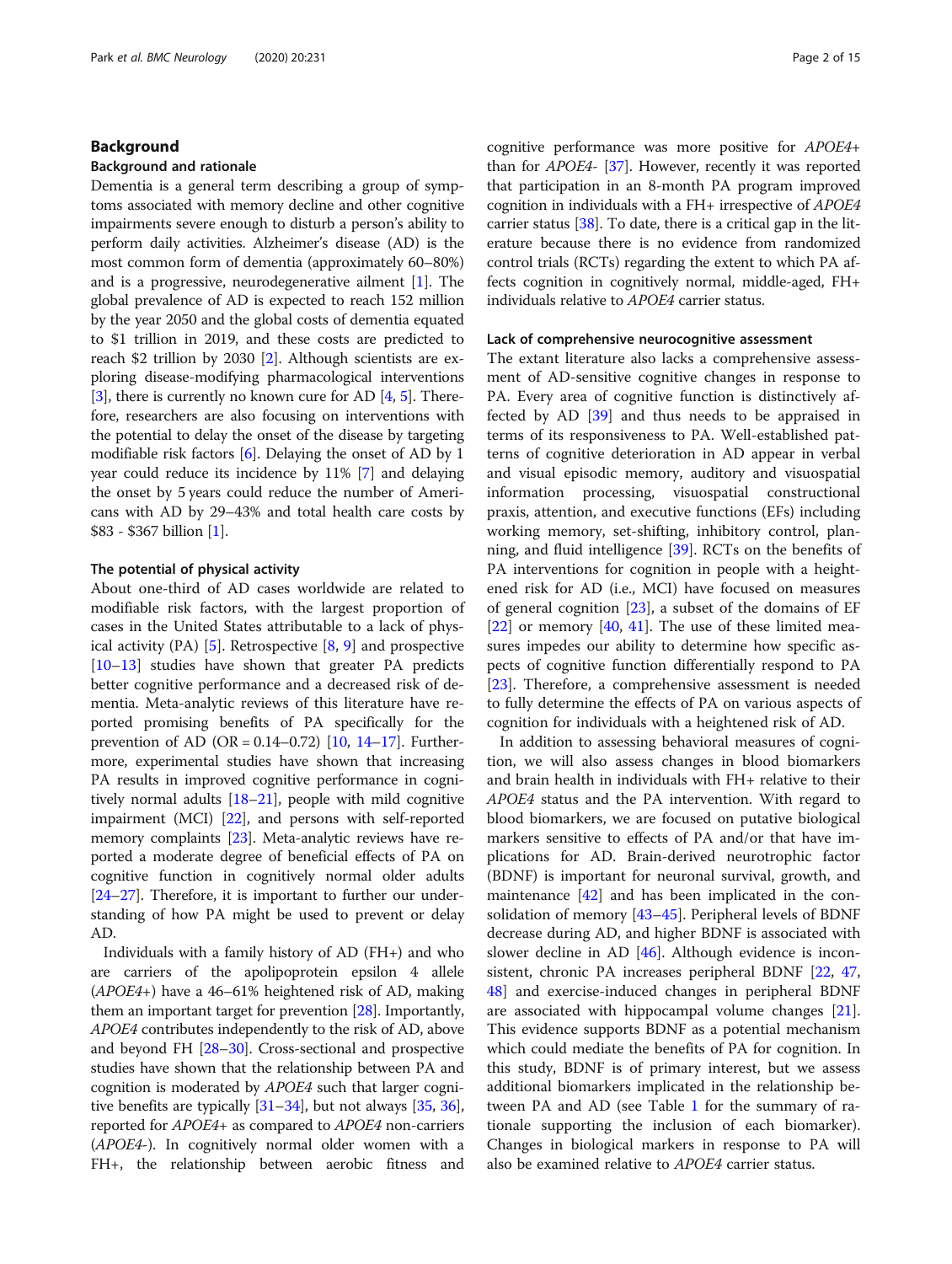#### Background

#### Background and rationale

Dementia is a general term describing a group of symptoms associated with memory decline and other cognitive impairments severe enough to disturb a person's ability to perform daily activities. Alzheimer's disease (AD) is the most common form of dementia (approximately 60–80%) and is a progressive, neurodegenerative ailment [\[1](#page-11-0)]. The global prevalence of AD is expected to reach 152 million by the year 2050 and the global costs of dementia equated to \$1 trillion in 2019, and these costs are predicted to reach \$2 trillion by 2030 [\[2](#page-11-0)]. Although scientists are exploring disease-modifying pharmacological interventions [[3\]](#page-11-0), there is currently no known cure for AD [[4,](#page-11-0) [5](#page-11-0)]. Therefore, researchers are also focusing on interventions with the potential to delay the onset of the disease by targeting modifiable risk factors [[6\]](#page-11-0). Delaying the onset of AD by 1 year could reduce its incidence by 11% [[7\]](#page-11-0) and delaying the onset by 5 years could reduce the number of Americans with AD by 29–43% and total health care costs by \$83 - \$367 billion [[1\]](#page-11-0).

#### The potential of physical activity

About one-third of AD cases worldwide are related to modifiable risk factors, with the largest proportion of cases in the United States attributable to a lack of physical activity  $(PA)$  [[5\]](#page-11-0). Retrospective [[8,](#page-11-0) [9\]](#page-11-0) and prospective [[10](#page-11-0)–[13](#page-11-0)] studies have shown that greater PA predicts better cognitive performance and a decreased risk of dementia. Meta-analytic reviews of this literature have reported promising benefits of PA specifically for the prevention of AD (OR =  $0.14 - 0.72$  $0.14 - 0.72$  $0.14 - 0.72$ ) [\[10](#page-11-0), 14-[17](#page-11-0)]. Furthermore, experimental studies have shown that increasing PA results in improved cognitive performance in cognitively normal adults [[18](#page-11-0)–[21\]](#page-11-0), people with mild cognitive impairment (MCI) [[22](#page-11-0)], and persons with self-reported memory complaints [\[23\]](#page-11-0). Meta-analytic reviews have reported a moderate degree of beneficial effects of PA on cognitive function in cognitively normal older adults [[24](#page-11-0)–[27\]](#page-11-0). Therefore, it is important to further our understanding of how PA might be used to prevent or delay AD.

Individuals with a family history of AD (FH+) and who are carriers of the apolipoprotein epsilon 4 allele (APOE4+) have a 46–61% heightened risk of AD, making them an important target for prevention [\[28](#page-11-0)]. Importantly, APOE4 contributes independently to the risk of AD, above and beyond FH [[28](#page-11-0)–[30\]](#page-11-0). Cross-sectional and prospective studies have shown that the relationship between PA and cognition is moderated by APOE4 such that larger cognitive benefits are typically [\[31](#page-11-0)–[34\]](#page-11-0), but not always [[35,](#page-11-0) [36](#page-11-0)], reported for APOE4+ as compared to APOE4 non-carriers (APOE4-). In cognitively normal older women with a FH+, the relationship between aerobic fitness and cognitive performance was more positive for APOE4+ than for APOE4- [\[37\]](#page-11-0). However, recently it was reported that participation in an 8-month PA program improved cognition in individuals with a FH+ irrespective of APOE4 carrier status [\[38](#page-11-0)]. To date, there is a critical gap in the literature because there is no evidence from randomized control trials (RCTs) regarding the extent to which PA affects cognition in cognitively normal, middle-aged, FH+ individuals relative to APOE4 carrier status.

#### Lack of comprehensive neurocognitive assessment

The extant literature also lacks a comprehensive assessment of AD-sensitive cognitive changes in response to PA. Every area of cognitive function is distinctively affected by AD [[39\]](#page-11-0) and thus needs to be appraised in terms of its responsiveness to PA. Well-established patterns of cognitive deterioration in AD appear in verbal and visual episodic memory, auditory and visuospatial information processing, visuospatial constructional praxis, attention, and executive functions (EFs) including working memory, set-shifting, inhibitory control, planning, and fluid intelligence [\[39\]](#page-11-0). RCTs on the benefits of PA interventions for cognition in people with a heightened risk for AD (i.e., MCI) have focused on measures of general cognition [[23](#page-11-0)], a subset of the domains of EF  $[22]$  $[22]$  or memory  $[40, 41]$  $[40, 41]$  $[40, 41]$  $[40, 41]$  $[40, 41]$ . The use of these limited measures impedes our ability to determine how specific aspects of cognitive function differentially respond to PA [[23\]](#page-11-0). Therefore, a comprehensive assessment is needed to fully determine the effects of PA on various aspects of cognition for individuals with a heightened risk of AD.

In addition to assessing behavioral measures of cognition, we will also assess changes in blood biomarkers and brain health in individuals with FH+ relative to their APOE4 status and the PA intervention. With regard to blood biomarkers, we are focused on putative biological markers sensitive to effects of PA and/or that have implications for AD. Brain-derived neurotrophic factor (BDNF) is important for neuronal survival, growth, and maintenance [\[42](#page-11-0)] and has been implicated in the consolidation of memory [\[43](#page-11-0)–[45](#page-11-0)]. Peripheral levels of BDNF decrease during AD, and higher BDNF is associated with slower decline in AD [\[46\]](#page-12-0). Although evidence is inconsistent, chronic PA increases peripheral BDNF [\[22,](#page-11-0) [47](#page-12-0), [48\]](#page-12-0) and exercise-induced changes in peripheral BDNF are associated with hippocampal volume changes [\[21](#page-11-0)]. This evidence supports BDNF as a potential mechanism which could mediate the benefits of PA for cognition. In this study, BDNF is of primary interest, but we assess additional biomarkers implicated in the relationship between PA and AD (see Table [1](#page-2-0) for the summary of rationale supporting the inclusion of each biomarker). Changes in biological markers in response to PA will also be examined relative to APOE4 carrier status.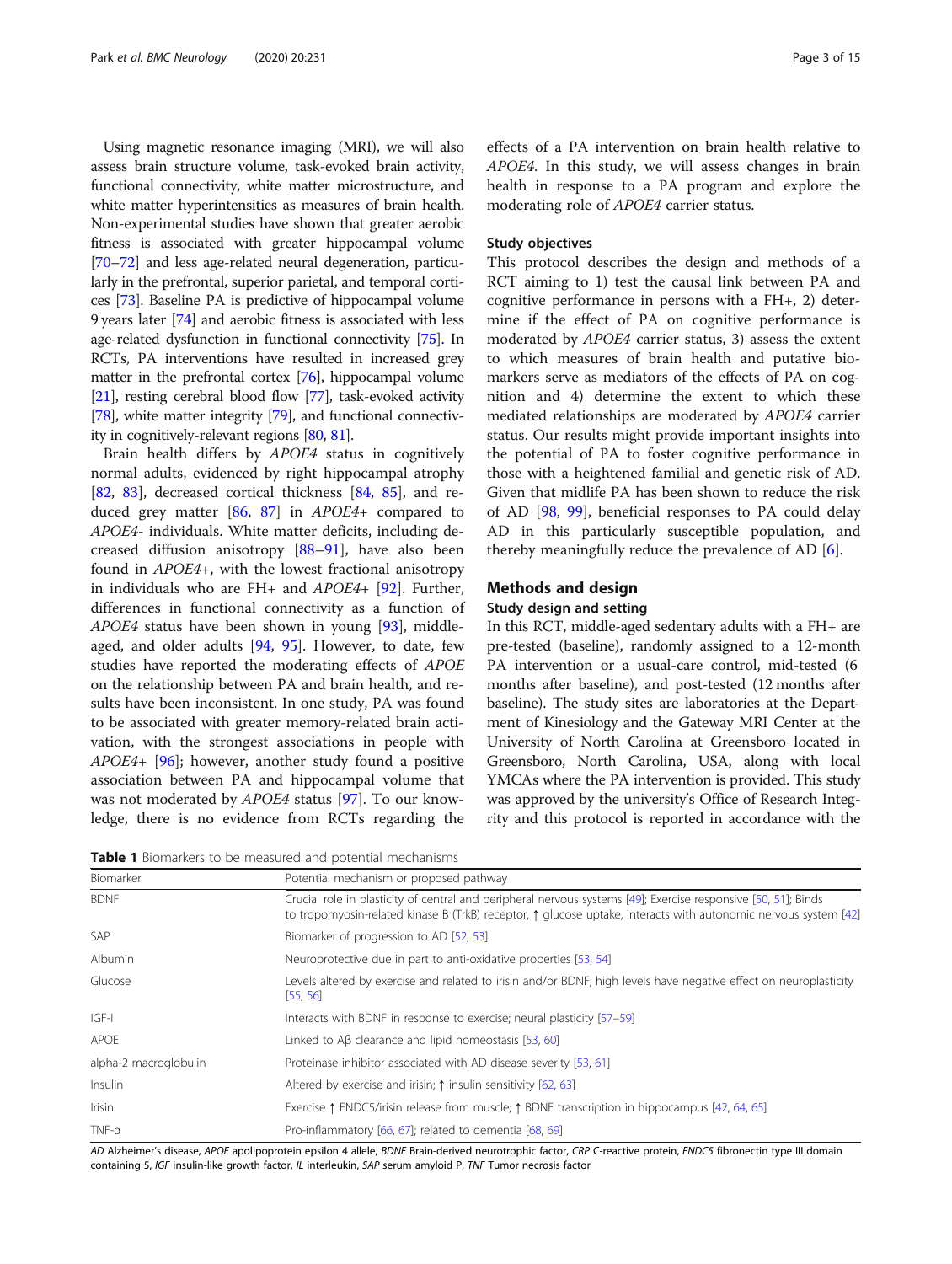<span id="page-2-0"></span>Using magnetic resonance imaging (MRI), we will also assess brain structure volume, task-evoked brain activity, functional connectivity, white matter microstructure, and white matter hyperintensities as measures of brain health. Non-experimental studies have shown that greater aerobic fitness is associated with greater hippocampal volume [[70](#page-12-0)–[72](#page-12-0)] and less age-related neural degeneration, particularly in the prefrontal, superior parietal, and temporal cortices [\[73\]](#page-12-0). Baseline PA is predictive of hippocampal volume 9 years later [\[74\]](#page-12-0) and aerobic fitness is associated with less age-related dysfunction in functional connectivity [[75](#page-12-0)]. In RCTs, PA interventions have resulted in increased grey matter in the prefrontal cortex [\[76\]](#page-12-0), hippocampal volume [[21](#page-11-0)], resting cerebral blood flow [[77](#page-12-0)], task-evoked activity [[78](#page-12-0)], white matter integrity [[79\]](#page-12-0), and functional connectivity in cognitively-relevant regions [\[80](#page-12-0), [81](#page-12-0)].

Brain health differs by APOE4 status in cognitively normal adults, evidenced by right hippocampal atrophy [[82,](#page-12-0) [83\]](#page-12-0), decreased cortical thickness [\[84](#page-12-0), [85\]](#page-12-0), and reduced grey matter [\[86](#page-12-0), [87\]](#page-12-0) in APOE4+ compared to APOE4- individuals. White matter deficits, including decreased diffusion anisotropy [\[88](#page-12-0)–[91\]](#page-13-0), have also been found in APOE4+, with the lowest fractional anisotropy in individuals who are FH+ and APOE4+ [[92](#page-13-0)]. Further, differences in functional connectivity as a function of APOE4 status have been shown in young [[93](#page-13-0)], middleaged, and older adults [[94,](#page-13-0) [95](#page-13-0)]. However, to date, few studies have reported the moderating effects of APOE on the relationship between PA and brain health, and results have been inconsistent. In one study, PA was found to be associated with greater memory-related brain activation, with the strongest associations in people with APOE4+ [[96](#page-13-0)]; however, another study found a positive association between PA and hippocampal volume that was not moderated by APOE4 status [\[97](#page-13-0)]. To our knowledge, there is no evidence from RCTs regarding the

Table 1 Biomarkers to be measured and notential mechanisms

effects of a PA intervention on brain health relative to APOE4. In this study, we will assess changes in brain health in response to a PA program and explore the moderating role of APOE4 carrier status.

#### Study objectives

This protocol describes the design and methods of a RCT aiming to 1) test the causal link between PA and cognitive performance in persons with a FH+, 2) determine if the effect of PA on cognitive performance is moderated by APOE4 carrier status, 3) assess the extent to which measures of brain health and putative biomarkers serve as mediators of the effects of PA on cognition and 4) determine the extent to which these mediated relationships are moderated by APOE4 carrier status. Our results might provide important insights into the potential of PA to foster cognitive performance in those with a heightened familial and genetic risk of AD. Given that midlife PA has been shown to reduce the risk of AD [[98](#page-13-0), [99\]](#page-13-0), beneficial responses to PA could delay AD in this particularly susceptible population, and thereby meaningfully reduce the prevalence of AD [\[6](#page-11-0)].

## Methods and design

#### Study design and setting

In this RCT, middle-aged sedentary adults with a FH+ are pre-tested (baseline), randomly assigned to a 12-month PA intervention or a usual-care control, mid-tested (6 months after baseline), and post-tested (12 months after baseline). The study sites are laboratories at the Department of Kinesiology and the Gateway MRI Center at the University of North Carolina at Greensboro located in Greensboro, North Carolina, USA, along with local YMCAs where the PA intervention is provided. This study was approved by the university's Office of Research Integrity and this protocol is reported in accordance with the

| <b>I QUIE</b> I DIVITIONERS TO DE THEOSULEU ONU DUTENTION THECHOLISHIS |                                                                                                                                                                                                                                            |  |  |  |
|------------------------------------------------------------------------|--------------------------------------------------------------------------------------------------------------------------------------------------------------------------------------------------------------------------------------------|--|--|--|
| Biomarker                                                              | Potential mechanism or proposed pathway                                                                                                                                                                                                    |  |  |  |
| <b>BDNF</b>                                                            | Crucial role in plasticity of central and peripheral nervous systems [49]; Exercise responsive [50, 51]; Binds<br>to tropomyosin-related kinase B (TrkB) receptor, $\uparrow$ glucose uptake, interacts with autonomic nervous system [42] |  |  |  |
| <b>SAP</b>                                                             | Biomarker of progression to AD [52, 53]                                                                                                                                                                                                    |  |  |  |
| Albumin                                                                | Neuroprotective due in part to anti-oxidative properties [53, 54]                                                                                                                                                                          |  |  |  |
| Glucose                                                                | Levels altered by exercise and related to irisin and/or BDNF; high levels have negative effect on neuroplasticity<br>[55, 56]                                                                                                              |  |  |  |
| $IGF-I$                                                                | Interacts with BDNF in response to exercise; neural plasticity [57–59]                                                                                                                                                                     |  |  |  |
| APOE                                                                   | Linked to $\overline{AB}$ clearance and lipid homeostasis [53, 60]                                                                                                                                                                         |  |  |  |
| alpha-2 macroglobulin                                                  | Proteinase inhibitor associated with AD disease severity [53, 61]                                                                                                                                                                          |  |  |  |
| Insulin                                                                | Altered by exercise and irisin; $\uparrow$ insulin sensitivity [62, 63]                                                                                                                                                                    |  |  |  |
| <b>Irisin</b>                                                          | Exercise $\uparrow$ FNDC5/irisin release from muscle; $\uparrow$ BDNF transcription in hippocampus [42, 64, 65]                                                                                                                            |  |  |  |
| $TNF-a$                                                                | Pro-inflammatory [66, 67]; related to dementia [68, 69]                                                                                                                                                                                    |  |  |  |

AD Alzheimer's disease, APOE apolipoprotein epsilon 4 allele, BDNF Brain-derived neurotrophic factor, CRP C-reactive protein, FNDC5 fibronectin type III domain containing 5, IGF insulin-like growth factor, IL interleukin, SAP serum amyloid P, TNF Tumor necrosis factor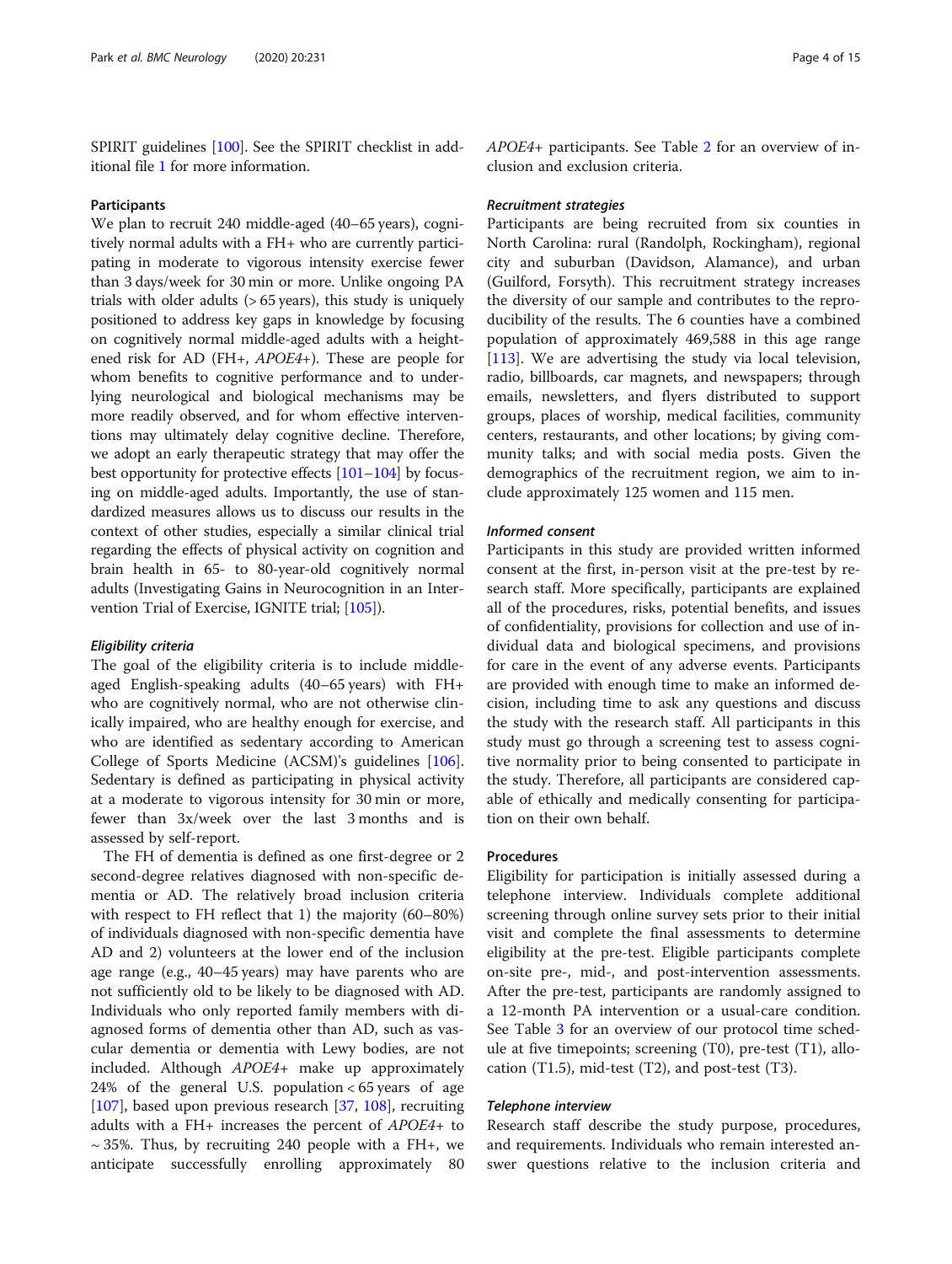SPIRIT guidelines [\[100\]](#page-13-0). See the SPIRIT checklist in additional file [1](#page-10-0) for more information.

#### Participants

We plan to recruit 240 middle-aged (40–65 years), cognitively normal adults with a FH+ who are currently participating in moderate to vigorous intensity exercise fewer than 3 days/week for 30 min or more. Unlike ongoing PA trials with older adults (> 65 years), this study is uniquely positioned to address key gaps in knowledge by focusing on cognitively normal middle-aged adults with a heightened risk for AD (FH+, APOE4+). These are people for whom benefits to cognitive performance and to underlying neurological and biological mechanisms may be more readily observed, and for whom effective interventions may ultimately delay cognitive decline. Therefore, we adopt an early therapeutic strategy that may offer the best opportunity for protective effects [\[101](#page-13-0)–[104](#page-13-0)] by focusing on middle-aged adults. Importantly, the use of standardized measures allows us to discuss our results in the context of other studies, especially a similar clinical trial regarding the effects of physical activity on cognition and brain health in 65- to 80-year-old cognitively normal adults (Investigating Gains in Neurocognition in an Intervention Trial of Exercise, IGNITE trial; [\[105\]](#page-13-0)).

#### Eligibility criteria

The goal of the eligibility criteria is to include middleaged English-speaking adults (40–65 years) with FH+ who are cognitively normal, who are not otherwise clinically impaired, who are healthy enough for exercise, and who are identified as sedentary according to American College of Sports Medicine (ACSM)'s guidelines [\[106](#page-13-0)]. Sedentary is defined as participating in physical activity at a moderate to vigorous intensity for 30 min or more, fewer than 3x/week over the last 3 months and is assessed by self-report.

The FH of dementia is defined as one first-degree or 2 second-degree relatives diagnosed with non-specific dementia or AD. The relatively broad inclusion criteria with respect to FH reflect that 1) the majority (60–80%) of individuals diagnosed with non-specific dementia have AD and 2) volunteers at the lower end of the inclusion age range (e.g., 40–45 years) may have parents who are not sufficiently old to be likely to be diagnosed with AD. Individuals who only reported family members with diagnosed forms of dementia other than AD, such as vascular dementia or dementia with Lewy bodies, are not included. Although APOE4+ make up approximately 24% of the general U.S. population < 65 years of age [[107\]](#page-13-0), based upon previous research [\[37,](#page-11-0) [108](#page-13-0)], recruiting adults with a FH+ increases the percent of  $APOE4+$  to  $\sim$  35%. Thus, by recruiting 240 people with a FH+, we anticipate successfully enrolling approximately 80 APOE4+ participants. See Table [2](#page-4-0) for an overview of inclusion and exclusion criteria.

#### Recruitment strategies

Participants are being recruited from six counties in North Carolina: rural (Randolph, Rockingham), regional city and suburban (Davidson, Alamance), and urban (Guilford, Forsyth). This recruitment strategy increases the diversity of our sample and contributes to the reproducibility of the results. The 6 counties have a combined population of approximately 469,588 in this age range [[113\]](#page-13-0). We are advertising the study via local television, radio, billboards, car magnets, and newspapers; through emails, newsletters, and flyers distributed to support groups, places of worship, medical facilities, community centers, restaurants, and other locations; by giving community talks; and with social media posts. Given the demographics of the recruitment region, we aim to include approximately 125 women and 115 men.

#### Informed consent

Participants in this study are provided written informed consent at the first, in-person visit at the pre-test by research staff. More specifically, participants are explained all of the procedures, risks, potential benefits, and issues of confidentiality, provisions for collection and use of individual data and biological specimens, and provisions for care in the event of any adverse events. Participants are provided with enough time to make an informed decision, including time to ask any questions and discuss the study with the research staff. All participants in this study must go through a screening test to assess cognitive normality prior to being consented to participate in the study. Therefore, all participants are considered capable of ethically and medically consenting for participation on their own behalf.

#### Procedures

Eligibility for participation is initially assessed during a telephone interview. Individuals complete additional screening through online survey sets prior to their initial visit and complete the final assessments to determine eligibility at the pre-test. Eligible participants complete on-site pre-, mid-, and post-intervention assessments. After the pre-test, participants are randomly assigned to a 12-month PA intervention or a usual-care condition. See Table [3](#page-5-0) for an overview of our protocol time schedule at five timepoints; screening (T0), pre-test (T1), allocation  $(T1.5)$ , mid-test  $(T2)$ , and post-test  $(T3)$ .

#### Telephone interview

Research staff describe the study purpose, procedures, and requirements. Individuals who remain interested answer questions relative to the inclusion criteria and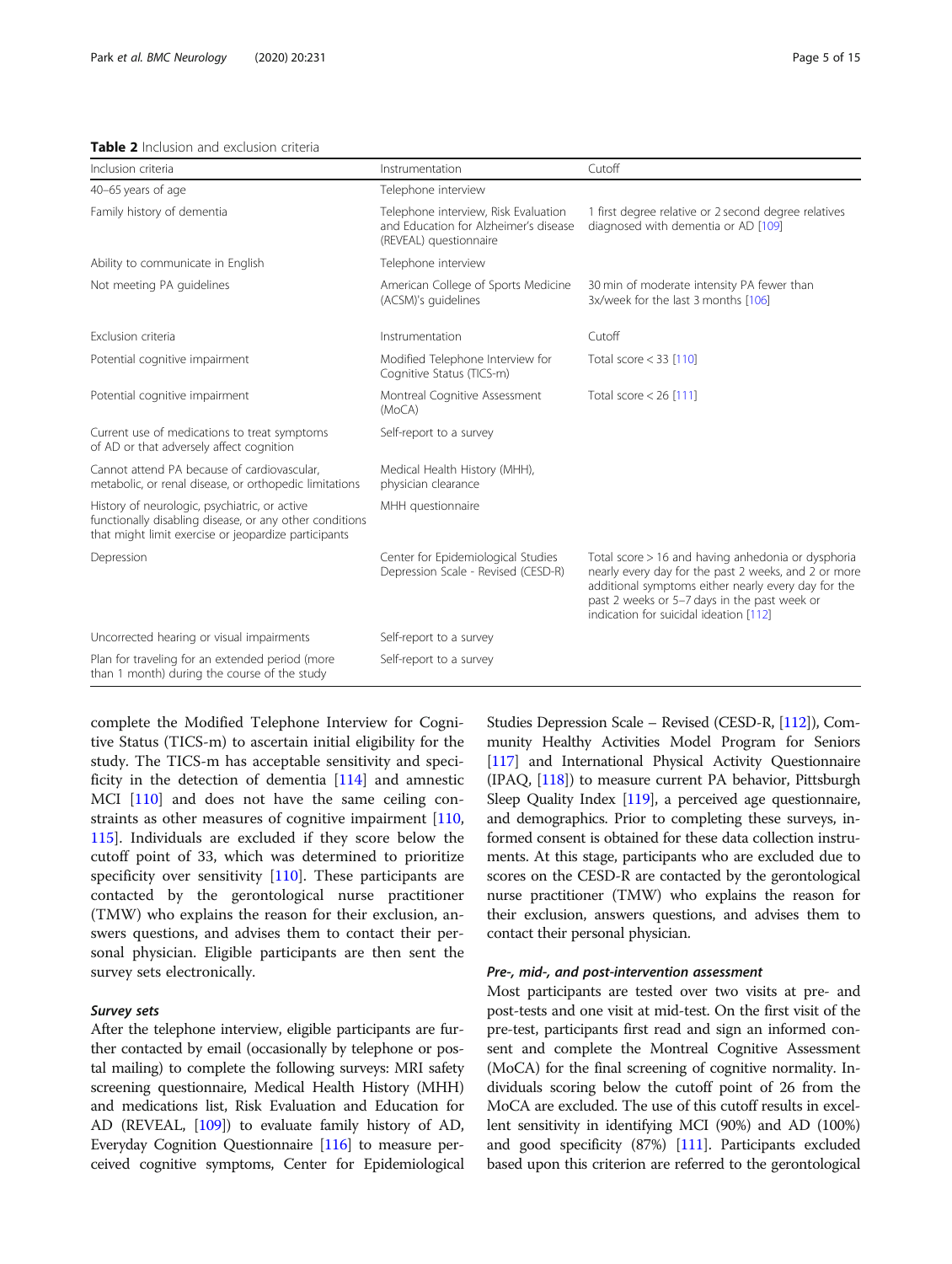#### <span id="page-4-0"></span>Table 2 Inclusion and exclusion criteria

| Inclusion criteria                                                                                                                                               | Instrumentation                                                                                         | Cutoff                                                                                                                                                                                                                                                      |
|------------------------------------------------------------------------------------------------------------------------------------------------------------------|---------------------------------------------------------------------------------------------------------|-------------------------------------------------------------------------------------------------------------------------------------------------------------------------------------------------------------------------------------------------------------|
| 40-65 years of age                                                                                                                                               | Telephone interview                                                                                     |                                                                                                                                                                                                                                                             |
| Family history of dementia                                                                                                                                       | Telephone interview, Risk Evaluation<br>and Education for Alzheimer's disease<br>(REVEAL) questionnaire | 1 first degree relative or 2 second degree relatives<br>diagnosed with dementia or AD [109]                                                                                                                                                                 |
| Ability to communicate in English                                                                                                                                | Telephone interview                                                                                     |                                                                                                                                                                                                                                                             |
| Not meeting PA quidelines                                                                                                                                        | American College of Sports Medicine<br>(ACSM)'s guidelines                                              | 30 min of moderate intensity PA fewer than<br>3x/week for the last 3 months [106]                                                                                                                                                                           |
| Exclusion criteria                                                                                                                                               | Instrumentation                                                                                         | Cutoff                                                                                                                                                                                                                                                      |
| Potential cognitive impairment                                                                                                                                   | Modified Telephone Interview for<br>Cognitive Status (TICS-m)                                           | Total score $<$ 33 [110]                                                                                                                                                                                                                                    |
| Potential cognitive impairment                                                                                                                                   | Montreal Cognitive Assessment<br>(MoCA)                                                                 | Total score $<$ 26 [111]                                                                                                                                                                                                                                    |
| Current use of medications to treat symptoms<br>of AD or that adversely affect cognition                                                                         | Self-report to a survey                                                                                 |                                                                                                                                                                                                                                                             |
| Cannot attend PA because of cardiovascular,<br>metabolic, or renal disease, or orthopedic limitations                                                            | Medical Health History (MHH),<br>physician clearance                                                    |                                                                                                                                                                                                                                                             |
| History of neurologic, psychiatric, or active<br>functionally disabling disease, or any other conditions<br>that might limit exercise or jeopardize participants | MHH questionnaire                                                                                       |                                                                                                                                                                                                                                                             |
| Depression                                                                                                                                                       | Center for Epidemiological Studies<br>Depression Scale - Revised (CESD-R)                               | Total score > 16 and having anhedonia or dysphoria<br>nearly every day for the past 2 weeks, and 2 or more<br>additional symptoms either nearly every day for the<br>past 2 weeks or 5-7 days in the past week or<br>indication for suicidal ideation [112] |
| Uncorrected hearing or visual impairments                                                                                                                        | Self-report to a survey                                                                                 |                                                                                                                                                                                                                                                             |
| Plan for traveling for an extended period (more<br>than 1 month) during the course of the study                                                                  | Self-report to a survey                                                                                 |                                                                                                                                                                                                                                                             |

complete the Modified Telephone Interview for Cognitive Status (TICS-m) to ascertain initial eligibility for the study. The TICS-m has acceptable sensitivity and specificity in the detection of dementia [\[114\]](#page-13-0) and amnestic MCI [\[110](#page-13-0)] and does not have the same ceiling constraints as other measures of cognitive impairment [[110](#page-13-0), [115](#page-13-0)]. Individuals are excluded if they score below the cutoff point of 33, which was determined to prioritize specificity over sensitivity  $[110]$  $[110]$ . These participants are contacted by the gerontological nurse practitioner (TMW) who explains the reason for their exclusion, answers questions, and advises them to contact their personal physician. Eligible participants are then sent the survey sets electronically.

#### Survey sets

After the telephone interview, eligible participants are further contacted by email (occasionally by telephone or postal mailing) to complete the following surveys: MRI safety screening questionnaire, Medical Health History (MHH) and medications list, Risk Evaluation and Education for AD (REVEAL, [\[109\]](#page-13-0)) to evaluate family history of AD, Everyday Cognition Questionnaire [\[116](#page-13-0)] to measure perceived cognitive symptoms, Center for Epidemiological Studies Depression Scale – Revised (CESD-R, [\[112\]](#page-13-0)), Community Healthy Activities Model Program for Seniors [[117](#page-13-0)] and International Physical Activity Questionnaire (IPAQ, [\[118](#page-13-0)]) to measure current PA behavior, Pittsburgh Sleep Quality Index [\[119\]](#page-13-0), a perceived age questionnaire, and demographics. Prior to completing these surveys, informed consent is obtained for these data collection instruments. At this stage, participants who are excluded due to scores on the CESD-R are contacted by the gerontological nurse practitioner (TMW) who explains the reason for their exclusion, answers questions, and advises them to contact their personal physician.

#### Pre-, mid-, and post-intervention assessment

Most participants are tested over two visits at pre- and post-tests and one visit at mid-test. On the first visit of the pre-test, participants first read and sign an informed consent and complete the Montreal Cognitive Assessment (MoCA) for the final screening of cognitive normality. Individuals scoring below the cutoff point of 26 from the MoCA are excluded. The use of this cutoff results in excellent sensitivity in identifying MCI (90%) and AD (100%) and good specificity (87%) [\[111](#page-13-0)]. Participants excluded based upon this criterion are referred to the gerontological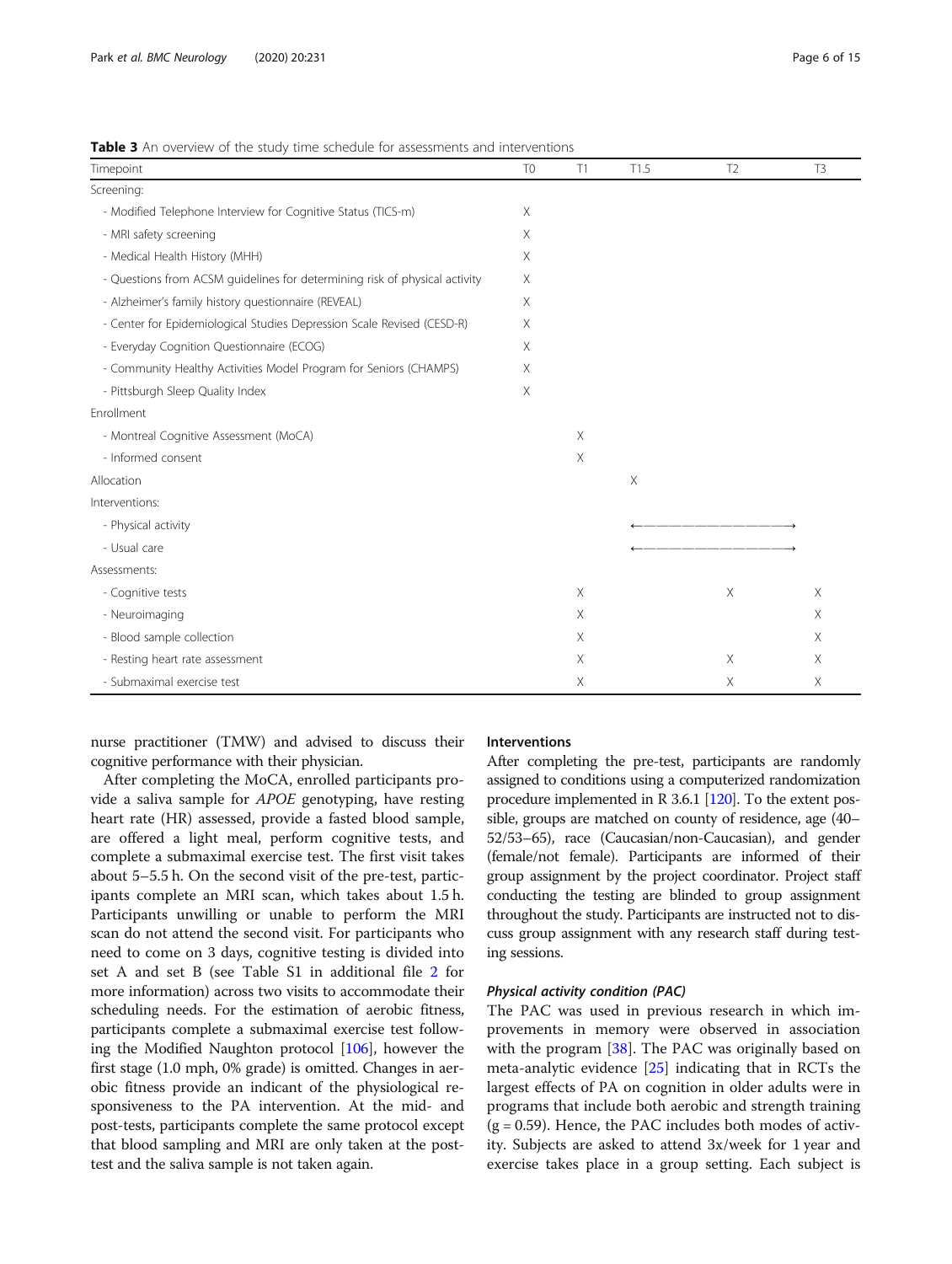| Timepoint                                                                  | T <sub>0</sub> | T1       | T1.5 | T <sub>2</sub> | T <sub>3</sub> |
|----------------------------------------------------------------------------|----------------|----------|------|----------------|----------------|
| Screening:                                                                 |                |          |      |                |                |
| - Modified Telephone Interview for Cognitive Status (TICS-m)               |                |          |      |                |                |
| - MRI safety screening                                                     |                |          |      |                |                |
| - Medical Health History (MHH)                                             | X              |          |      |                |                |
| - Questions from ACSM quidelines for determining risk of physical activity |                |          |      |                |                |
| - Alzheimer's family history questionnaire (REVEAL)                        |                |          |      |                |                |
| - Center for Epidemiological Studies Depression Scale Revised (CESD-R)     |                |          |      |                |                |
| - Everyday Cognition Questionnaire (ECOG)                                  |                |          |      |                |                |
| - Community Healthy Activities Model Program for Seniors (CHAMPS)          |                |          |      |                |                |
| - Pittsburgh Sleep Quality Index                                           | $\times$       |          |      |                |                |
| Enrollment                                                                 |                |          |      |                |                |
| - Montreal Cognitive Assessment (MoCA)                                     |                | $\times$ |      |                |                |
| - Informed consent                                                         |                | Χ        |      |                |                |
| Allocation                                                                 |                |          | Χ    |                |                |
| Interventions:                                                             |                |          |      |                |                |
| - Physical activity                                                        |                |          |      |                |                |
| - Usual care                                                               |                |          |      |                |                |
| Assessments:                                                               |                |          |      |                |                |
| - Cognitive tests                                                          |                | $\times$ |      | Χ              | $\times$       |
| - Neuroimaging                                                             |                | Χ        |      |                | Χ              |
| - Blood sample collection                                                  |                | X        |      |                | X              |
| - Resting heart rate assessment                                            |                | X        |      | Χ              | X              |
| - Submaximal exercise test                                                 |                | Χ        |      | Χ              | Χ              |

<span id="page-5-0"></span>Table 3 An overview of the study time schedule for assessments and interventions

nurse practitioner (TMW) and advised to discuss their cognitive performance with their physician.

After completing the MoCA, enrolled participants provide a saliva sample for APOE genotyping, have resting heart rate (HR) assessed, provide a fasted blood sample, are offered a light meal, perform cognitive tests, and complete a submaximal exercise test. The first visit takes about 5–5.5 h. On the second visit of the pre-test, participants complete an MRI scan, which takes about 1.5 h. Participants unwilling or unable to perform the MRI scan do not attend the second visit. For participants who need to come on 3 days, cognitive testing is divided into set A and set B (see Table S1 in additional file [2](#page-10-0) for more information) across two visits to accommodate their scheduling needs. For the estimation of aerobic fitness, participants complete a submaximal exercise test following the Modified Naughton protocol [\[106\]](#page-13-0), however the first stage (1.0 mph, 0% grade) is omitted. Changes in aerobic fitness provide an indicant of the physiological responsiveness to the PA intervention. At the mid- and post-tests, participants complete the same protocol except that blood sampling and MRI are only taken at the posttest and the saliva sample is not taken again.

#### Interventions

After completing the pre-test, participants are randomly assigned to conditions using a computerized randomization procedure implemented in R 3.6.1 [[120](#page-13-0)]. To the extent possible, groups are matched on county of residence, age (40– 52/53–65), race (Caucasian/non-Caucasian), and gender (female/not female). Participants are informed of their group assignment by the project coordinator. Project staff conducting the testing are blinded to group assignment throughout the study. Participants are instructed not to discuss group assignment with any research staff during testing sessions.

#### Physical activity condition (PAC)

The PAC was used in previous research in which improvements in memory were observed in association with the program [[38\]](#page-11-0). The PAC was originally based on meta-analytic evidence [[25\]](#page-11-0) indicating that in RCTs the largest effects of PA on cognition in older adults were in programs that include both aerobic and strength training  $(g = 0.59)$ . Hence, the PAC includes both modes of activity. Subjects are asked to attend 3x/week for 1 year and exercise takes place in a group setting. Each subject is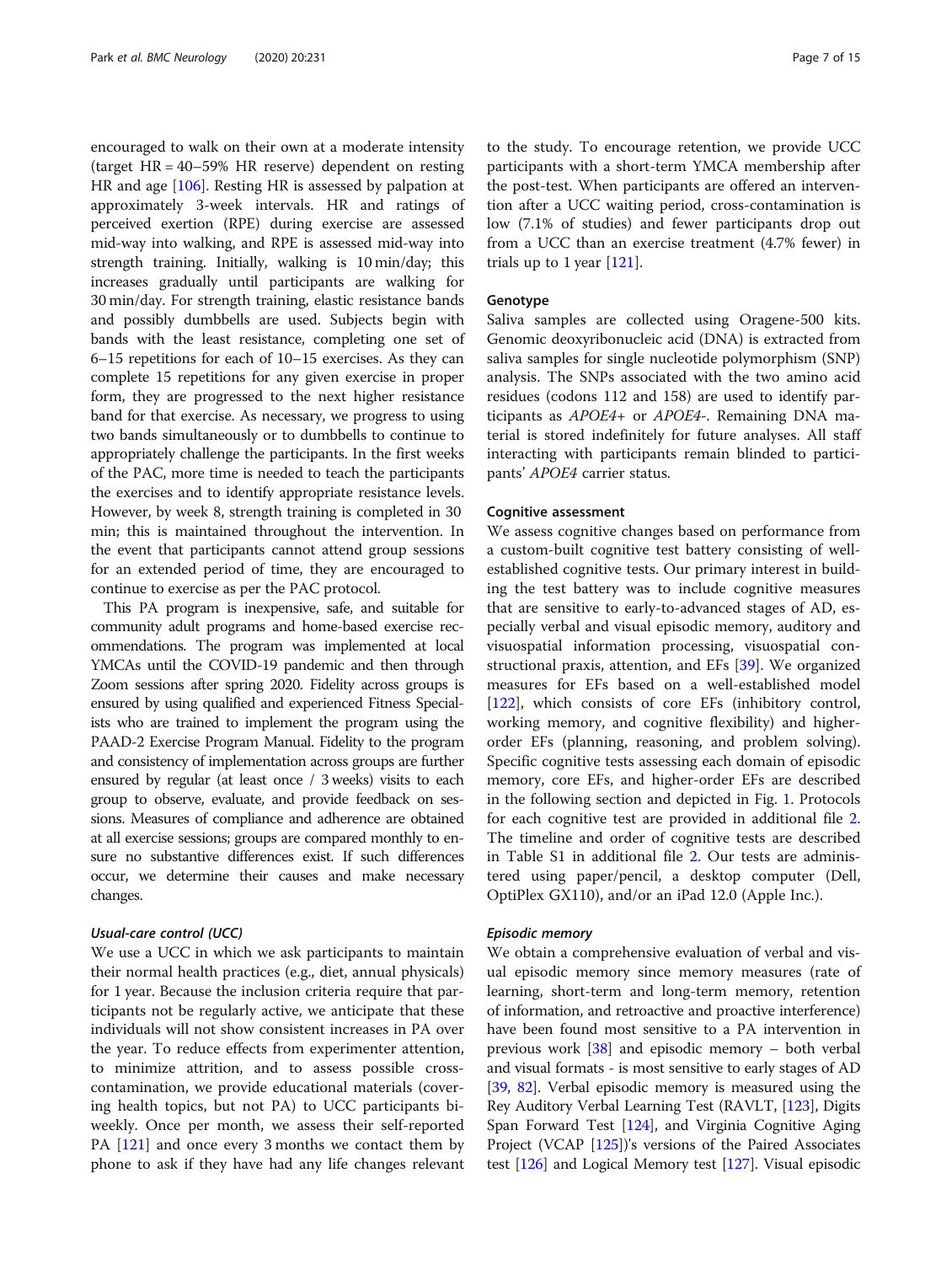encouraged to walk on their own at a moderate intensity (target HR = 40–59% HR reserve) dependent on resting HR and age [[106\]](#page-13-0). Resting HR is assessed by palpation at approximately 3-week intervals. HR and ratings of perceived exertion (RPE) during exercise are assessed mid-way into walking, and RPE is assessed mid-way into strength training. Initially, walking is 10 min/day; this increases gradually until participants are walking for 30 min/day. For strength training, elastic resistance bands and possibly dumbbells are used. Subjects begin with bands with the least resistance, completing one set of 6–15 repetitions for each of 10–15 exercises. As they can complete 15 repetitions for any given exercise in proper form, they are progressed to the next higher resistance band for that exercise. As necessary, we progress to using two bands simultaneously or to dumbbells to continue to appropriately challenge the participants. In the first weeks of the PAC, more time is needed to teach the participants the exercises and to identify appropriate resistance levels. However, by week 8, strength training is completed in 30 min; this is maintained throughout the intervention. In the event that participants cannot attend group sessions for an extended period of time, they are encouraged to continue to exercise as per the PAC protocol.

This PA program is inexpensive, safe, and suitable for community adult programs and home-based exercise recommendations. The program was implemented at local YMCAs until the COVID-19 pandemic and then through Zoom sessions after spring 2020. Fidelity across groups is ensured by using qualified and experienced Fitness Specialists who are trained to implement the program using the PAAD-2 Exercise Program Manual. Fidelity to the program and consistency of implementation across groups are further ensured by regular (at least once / 3 weeks) visits to each group to observe, evaluate, and provide feedback on sessions. Measures of compliance and adherence are obtained at all exercise sessions; groups are compared monthly to ensure no substantive differences exist. If such differences occur, we determine their causes and make necessary changes.

#### Usual-care control (UCC)

We use a UCC in which we ask participants to maintain their normal health practices (e.g., diet, annual physicals) for 1 year. Because the inclusion criteria require that participants not be regularly active, we anticipate that these individuals will not show consistent increases in PA over the year. To reduce effects from experimenter attention, to minimize attrition, and to assess possible crosscontamination, we provide educational materials (covering health topics, but not PA) to UCC participants biweekly. Once per month, we assess their self-reported PA [\[121\]](#page-13-0) and once every 3 months we contact them by phone to ask if they have had any life changes relevant

to the study. To encourage retention, we provide UCC participants with a short-term YMCA membership after the post-test. When participants are offered an intervention after a UCC waiting period, cross-contamination is low (7.1% of studies) and fewer participants drop out from a UCC than an exercise treatment (4.7% fewer) in trials up to  $1$  year  $[121]$  $[121]$ .

#### Genotype

Saliva samples are collected using Oragene-500 kits. Genomic deoxyribonucleic acid (DNA) is extracted from saliva samples for single nucleotide polymorphism (SNP) analysis. The SNPs associated with the two amino acid residues (codons 112 and 158) are used to identify participants as APOE4+ or APOE4-. Remaining DNA material is stored indefinitely for future analyses. All staff interacting with participants remain blinded to participants' APOE4 carrier status.

#### Cognitive assessment

We assess cognitive changes based on performance from a custom-built cognitive test battery consisting of wellestablished cognitive tests. Our primary interest in building the test battery was to include cognitive measures that are sensitive to early-to-advanced stages of AD, especially verbal and visual episodic memory, auditory and visuospatial information processing, visuospatial constructional praxis, attention, and EFs [[39\]](#page-11-0). We organized measures for EFs based on a well-established model [[122\]](#page-13-0), which consists of core EFs (inhibitory control, working memory, and cognitive flexibility) and higherorder EFs (planning, reasoning, and problem solving). Specific cognitive tests assessing each domain of episodic memory, core EFs, and higher-order EFs are described in the following section and depicted in Fig. [1.](#page-7-0) Protocols for each cognitive test are provided in additional file [2](#page-10-0). The timeline and order of cognitive tests are described in Table S1 in additional file [2.](#page-10-0) Our tests are administered using paper/pencil, a desktop computer (Dell, OptiPlex GX110), and/or an iPad 12.0 (Apple Inc.).

#### Episodic memory

We obtain a comprehensive evaluation of verbal and visual episodic memory since memory measures (rate of learning, short-term and long-term memory, retention of information, and retroactive and proactive interference) have been found most sensitive to a PA intervention in previous work [[38](#page-11-0)] and episodic memory – both verbal and visual formats - is most sensitive to early stages of AD [[39](#page-11-0), [82](#page-12-0)]. Verbal episodic memory is measured using the Rey Auditory Verbal Learning Test (RAVLT, [\[123\]](#page-13-0), Digits Span Forward Test [\[124](#page-13-0)], and Virginia Cognitive Aging Project (VCAP [[125](#page-13-0)])'s versions of the Paired Associates test [\[126\]](#page-13-0) and Logical Memory test [[127](#page-13-0)]. Visual episodic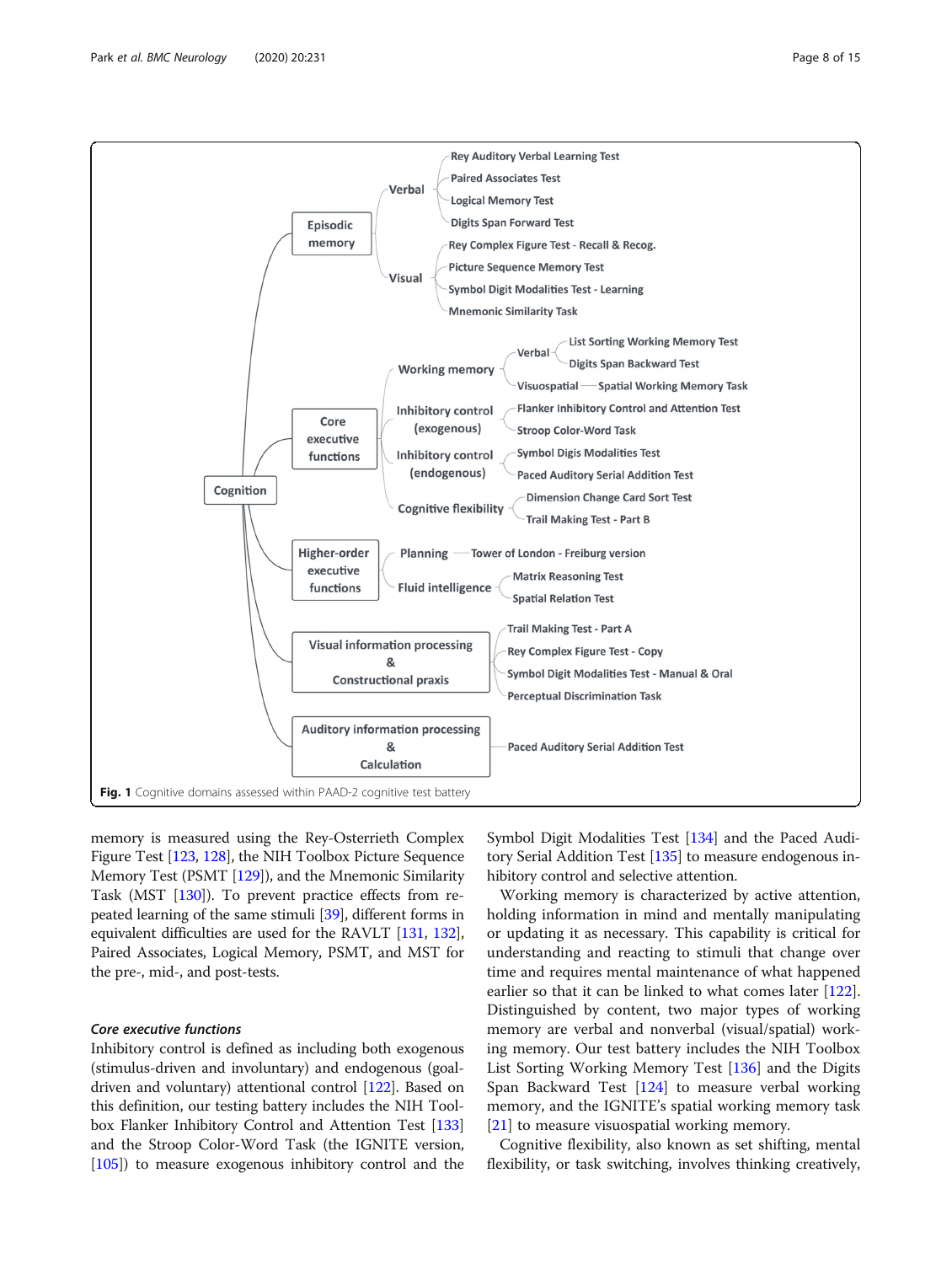<span id="page-7-0"></span>

memory is measured using the Rey-Osterrieth Complex Figure Test [[123](#page-13-0), [128](#page-13-0)], the NIH Toolbox Picture Sequence Memory Test (PSMT [\[129\]](#page-13-0)), and the Mnemonic Similarity Task (MST [[130\]](#page-13-0)). To prevent practice effects from repeated learning of the same stimuli [[39\]](#page-11-0), different forms in equivalent difficulties are used for the RAVLT [\[131](#page-13-0), [132](#page-13-0)], Paired Associates, Logical Memory, PSMT, and MST for the pre-, mid-, and post-tests.

#### Core executive functions

Inhibitory control is defined as including both exogenous (stimulus-driven and involuntary) and endogenous (goaldriven and voluntary) attentional control [\[122\]](#page-13-0). Based on this definition, our testing battery includes the NIH Toolbox Flanker Inhibitory Control and Attention Test [\[133](#page-13-0)] and the Stroop Color-Word Task (the IGNITE version, [[105](#page-13-0)]) to measure exogenous inhibitory control and the

Symbol Digit Modalities Test [[134](#page-13-0)] and the Paced Auditory Serial Addition Test [\[135\]](#page-13-0) to measure endogenous inhibitory control and selective attention.

Working memory is characterized by active attention, holding information in mind and mentally manipulating or updating it as necessary. This capability is critical for understanding and reacting to stimuli that change over time and requires mental maintenance of what happened earlier so that it can be linked to what comes later [[122](#page-13-0)]. Distinguished by content, two major types of working memory are verbal and nonverbal (visual/spatial) working memory. Our test battery includes the NIH Toolbox List Sorting Working Memory Test [[136](#page-13-0)] and the Digits Span Backward Test [\[124](#page-13-0)] to measure verbal working memory, and the IGNITE's spatial working memory task [[21\]](#page-11-0) to measure visuospatial working memory.

Cognitive flexibility, also known as set shifting, mental flexibility, or task switching, involves thinking creatively,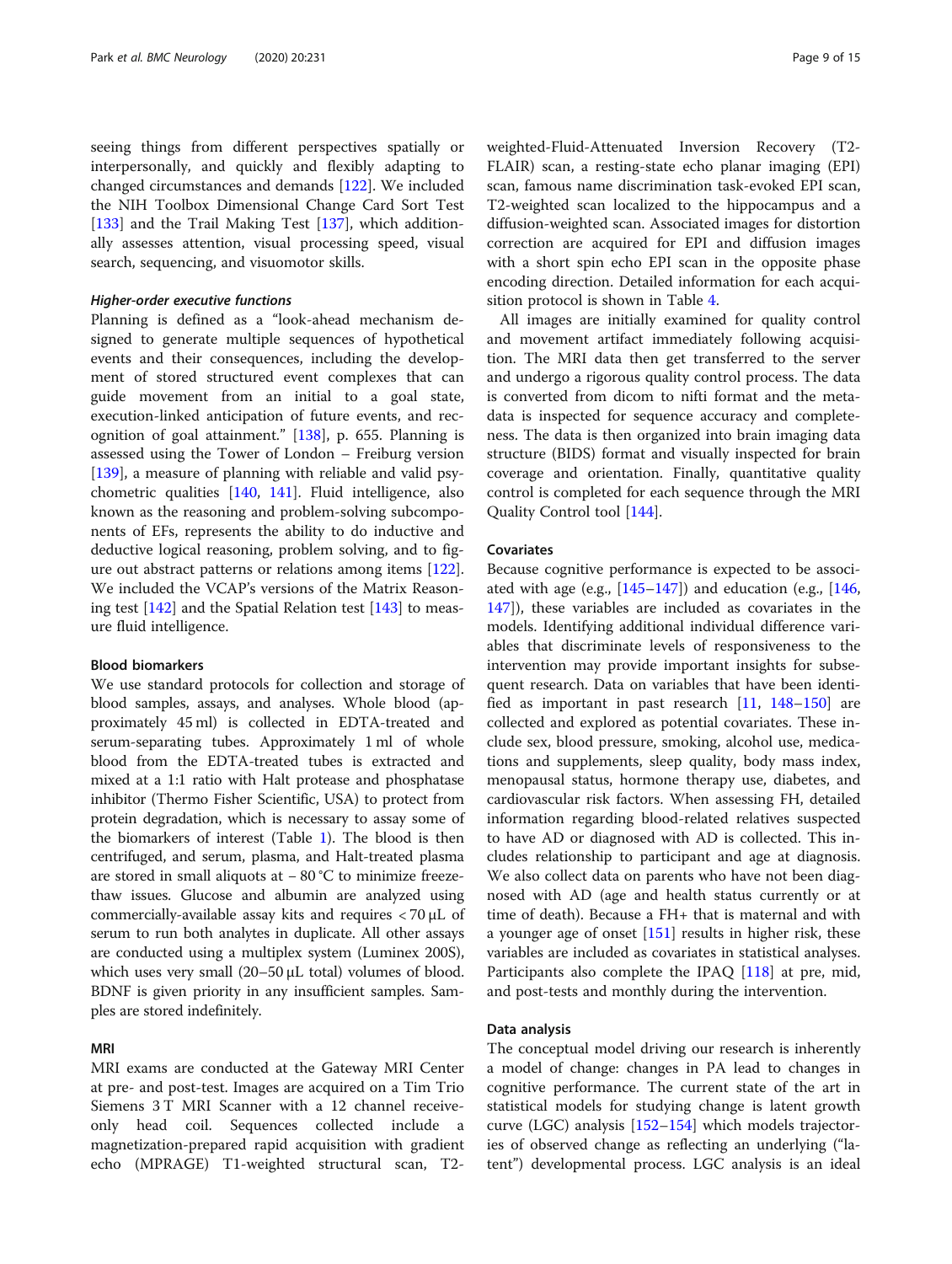seeing things from different perspectives spatially or interpersonally, and quickly and flexibly adapting to changed circumstances and demands [\[122\]](#page-13-0). We included the NIH Toolbox Dimensional Change Card Sort Test [[133\]](#page-13-0) and the Trail Making Test [\[137\]](#page-13-0), which additionally assesses attention, visual processing speed, visual search, sequencing, and visuomotor skills.

#### Higher-order executive functions

Planning is defined as a "look-ahead mechanism designed to generate multiple sequences of hypothetical events and their consequences, including the development of stored structured event complexes that can guide movement from an initial to a goal state, execution-linked anticipation of future events, and recognition of goal attainment." [\[138](#page-13-0)], p. 655. Planning is assessed using the Tower of London – Freiburg version [[139\]](#page-13-0), a measure of planning with reliable and valid psychometric qualities [\[140,](#page-13-0) [141](#page-13-0)]. Fluid intelligence, also known as the reasoning and problem-solving subcomponents of EFs, represents the ability to do inductive and deductive logical reasoning, problem solving, and to figure out abstract patterns or relations among items [\[122](#page-13-0)]. We included the VCAP's versions of the Matrix Reasoning test [[142](#page-14-0)] and the Spatial Relation test [\[143](#page-14-0)] to measure fluid intelligence.

#### Blood biomarkers

We use standard protocols for collection and storage of blood samples, assays, and analyses. Whole blood (approximately 45 ml) is collected in EDTA-treated and serum-separating tubes. Approximately 1 ml of whole blood from the EDTA-treated tubes is extracted and mixed at a 1:1 ratio with Halt protease and phosphatase inhibitor (Thermo Fisher Scientific, USA) to protect from protein degradation, which is necessary to assay some of the biomarkers of interest (Table [1\)](#page-2-0). The blood is then centrifuged, and serum, plasma, and Halt-treated plasma are stored in small aliquots at − 80 °C to minimize freezethaw issues. Glucose and albumin are analyzed using commercially-available assay kits and requires < 70 μL of serum to run both analytes in duplicate. All other assays are conducted using a multiplex system (Luminex 200S), which uses very small (20–50 μL total) volumes of blood. BDNF is given priority in any insufficient samples. Samples are stored indefinitely.

#### MRI

MRI exams are conducted at the Gateway MRI Center at pre- and post-test. Images are acquired on a Tim Trio Siemens 3 T MRI Scanner with a 12 channel receiveonly head coil. Sequences collected include a magnetization-prepared rapid acquisition with gradient echo (MPRAGE) T1-weighted structural scan, T2weighted-Fluid-Attenuated Inversion Recovery (T2- FLAIR) scan, a resting-state echo planar imaging (EPI) scan, famous name discrimination task-evoked EPI scan, T2-weighted scan localized to the hippocampus and a diffusion-weighted scan. Associated images for distortion correction are acquired for EPI and diffusion images with a short spin echo EPI scan in the opposite phase encoding direction. Detailed information for each acquisition protocol is shown in Table [4](#page-9-0).

All images are initially examined for quality control and movement artifact immediately following acquisition. The MRI data then get transferred to the server and undergo a rigorous quality control process. The data is converted from dicom to nifti format and the metadata is inspected for sequence accuracy and completeness. The data is then organized into brain imaging data structure (BIDS) format and visually inspected for brain coverage and orientation. Finally, quantitative quality control is completed for each sequence through the MRI Quality Control tool [\[144](#page-14-0)].

#### Covariates

Because cognitive performance is expected to be associated with age (e.g.,  $[145-147]$  $[145-147]$  $[145-147]$ ) and education (e.g.,  $[146,$  $[146,$  $[146,$ [147](#page-14-0)]), these variables are included as covariates in the models. Identifying additional individual difference variables that discriminate levels of responsiveness to the intervention may provide important insights for subsequent research. Data on variables that have been identified as important in past research [\[11](#page-11-0), [148](#page-14-0)–[150](#page-14-0)] are collected and explored as potential covariates. These include sex, blood pressure, smoking, alcohol use, medications and supplements, sleep quality, body mass index, menopausal status, hormone therapy use, diabetes, and cardiovascular risk factors. When assessing FH, detailed information regarding blood-related relatives suspected to have AD or diagnosed with AD is collected. This includes relationship to participant and age at diagnosis. We also collect data on parents who have not been diagnosed with AD (age and health status currently or at time of death). Because a FH+ that is maternal and with a younger age of onset [\[151](#page-14-0)] results in higher risk, these variables are included as covariates in statistical analyses. Participants also complete the IPAQ [[118\]](#page-13-0) at pre, mid, and post-tests and monthly during the intervention.

#### Data analysis

The conceptual model driving our research is inherently a model of change: changes in PA lead to changes in cognitive performance. The current state of the art in statistical models for studying change is latent growth curve (LGC) analysis [[152](#page-14-0)–[154](#page-14-0)] which models trajectories of observed change as reflecting an underlying ("latent") developmental process. LGC analysis is an ideal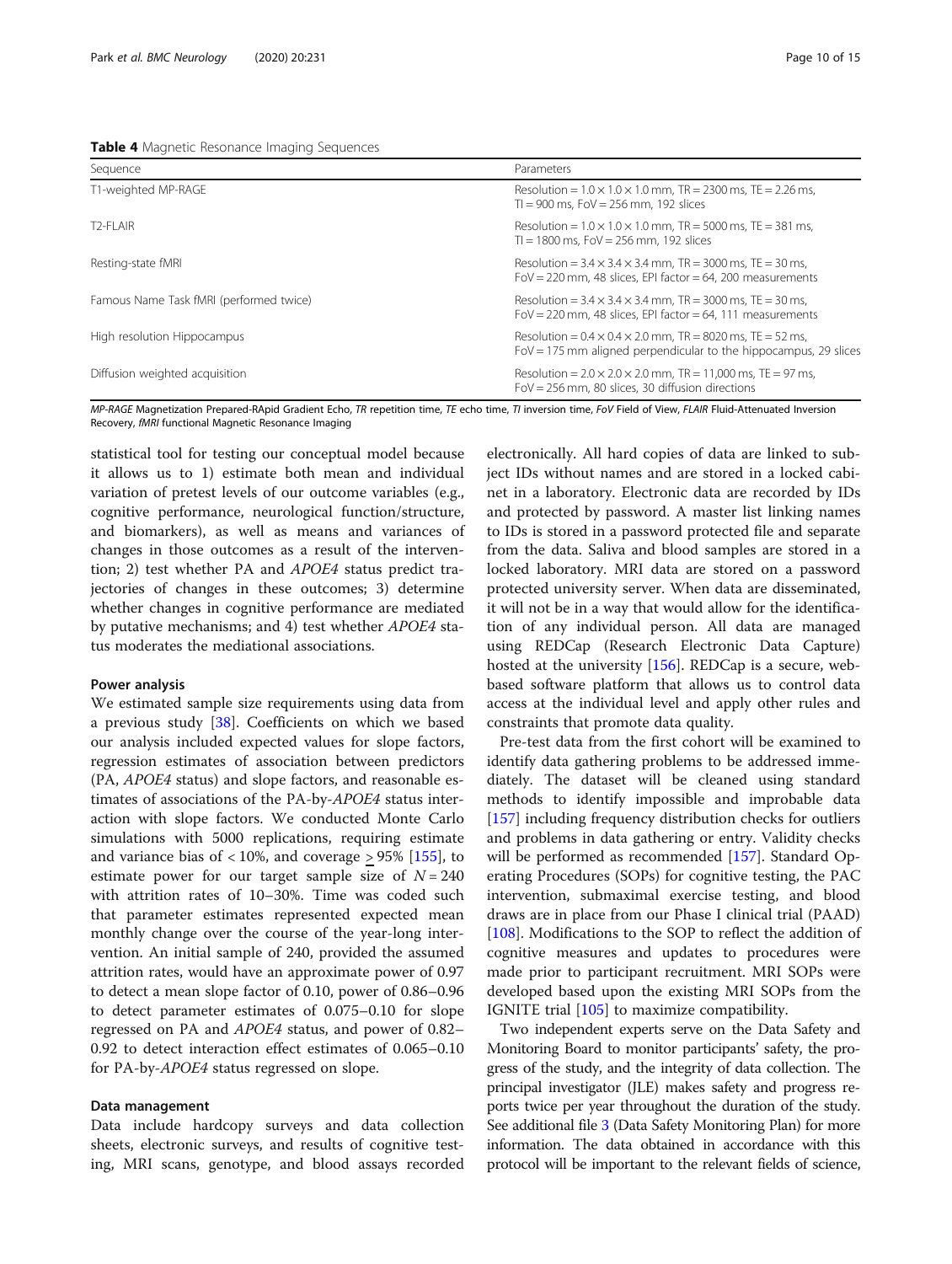<span id="page-9-0"></span>

| Table 4 Magnetic Resonance Imaging Sequences |  |  |  |
|----------------------------------------------|--|--|--|
|----------------------------------------------|--|--|--|

| Sequence                                | Parameters                                                                                                                                   |
|-----------------------------------------|----------------------------------------------------------------------------------------------------------------------------------------------|
| T1-weighted MP-RAGE                     | Resolution = $1.0 \times 1.0 \times 1.0$ mm, TR = 2300 ms, TE = 2.26 ms,<br>$T = 900$ ms, $Fov = 256$ mm, 192 slices                         |
| T <sub>2</sub> -FI AIR                  | Resolution = $1.0 \times 1.0 \times 1.0$ mm, TR = 5000 ms, TE = 381 ms,<br>$T = 1800$ ms. FoV = 256 mm. 192 slices                           |
| Resting-state fMRI                      | Resolution = $3.4 \times 3.4 \times 3.4$ mm, TR = 3000 ms, TE = 30 ms,<br>FoV = 220 mm, 48 slices, EPI factor = 64, 200 measurements         |
| Famous Name Task fMRI (performed twice) | Resolution = $3.4 \times 3.4 \times 3.4$ mm, TR = 3000 ms, TE = 30 ms,<br>FoV = 220 mm, 48 slices, EPI factor = 64, 111 measurements         |
| High resolution Hippocampus             | Resolution = $0.4 \times 0.4 \times 2.0$ mm, TR = 8020 ms, TE = 52 ms,<br>$Fov = 175$ mm aligned perpendicular to the hippocampus, 29 slices |
| Diffusion weighted acquisition          | Resolution = $2.0 \times 2.0 \times 2.0$ mm, TR = 11,000 ms, TE = 97 ms,<br>$Fov = 256$ mm, 80 slices, 30 diffusion directions               |

MP-RAGE Magnetization Prepared-RApid Gradient Echo, TR repetition time, TE echo time, TI inversion time, FoV Field of View, FLAIR Fluid-Attenuated Inversion Recovery, fMRI functional Magnetic Resonance Imaging

statistical tool for testing our conceptual model because it allows us to 1) estimate both mean and individual variation of pretest levels of our outcome variables (e.g., cognitive performance, neurological function/structure, and biomarkers), as well as means and variances of changes in those outcomes as a result of the intervention; 2) test whether PA and APOE4 status predict trajectories of changes in these outcomes; 3) determine whether changes in cognitive performance are mediated by putative mechanisms; and 4) test whether APOE4 status moderates the mediational associations.

#### Power analysis

We estimated sample size requirements using data from a previous study [[38\]](#page-11-0). Coefficients on which we based our analysis included expected values for slope factors, regression estimates of association between predictors (PA, APOE4 status) and slope factors, and reasonable estimates of associations of the PA-by-APOE4 status interaction with slope factors. We conducted Monte Carlo simulations with 5000 replications, requiring estimate and variance bias of  $\langle 10\%,$  and coverage  $> 95\%$  [[155\]](#page-14-0), to estimate power for our target sample size of  $N = 240$ with attrition rates of 10–30%. Time was coded such that parameter estimates represented expected mean monthly change over the course of the year-long intervention. An initial sample of 240, provided the assumed attrition rates, would have an approximate power of 0.97 to detect a mean slope factor of 0.10, power of 0.86–0.96 to detect parameter estimates of 0.075–0.10 for slope regressed on PA and APOE4 status, and power of 0.82– 0.92 to detect interaction effect estimates of 0.065–0.10 for PA-by-APOE4 status regressed on slope.

#### Data management

Data include hardcopy surveys and data collection sheets, electronic surveys, and results of cognitive testing, MRI scans, genotype, and blood assays recorded

electronically. All hard copies of data are linked to subject IDs without names and are stored in a locked cabinet in a laboratory. Electronic data are recorded by IDs and protected by password. A master list linking names to IDs is stored in a password protected file and separate from the data. Saliva and blood samples are stored in a locked laboratory. MRI data are stored on a password protected university server. When data are disseminated, it will not be in a way that would allow for the identification of any individual person. All data are managed using REDCap (Research Electronic Data Capture) hosted at the university [\[156](#page-14-0)]. REDCap is a secure, webbased software platform that allows us to control data access at the individual level and apply other rules and constraints that promote data quality.

Pre-test data from the first cohort will be examined to identify data gathering problems to be addressed immediately. The dataset will be cleaned using standard methods to identify impossible and improbable data [[157\]](#page-14-0) including frequency distribution checks for outliers and problems in data gathering or entry. Validity checks will be performed as recommended [[157](#page-14-0)]. Standard Operating Procedures (SOPs) for cognitive testing, the PAC intervention, submaximal exercise testing, and blood draws are in place from our Phase I clinical trial (PAAD) [[108\]](#page-13-0). Modifications to the SOP to reflect the addition of cognitive measures and updates to procedures were made prior to participant recruitment. MRI SOPs were developed based upon the existing MRI SOPs from the IGNITE trial [\[105](#page-13-0)] to maximize compatibility.

Two independent experts serve on the Data Safety and Monitoring Board to monitor participants' safety, the progress of the study, and the integrity of data collection. The principal investigator (JLE) makes safety and progress reports twice per year throughout the duration of the study. See additional file [3](#page-10-0) (Data Safety Monitoring Plan) for more information. The data obtained in accordance with this protocol will be important to the relevant fields of science,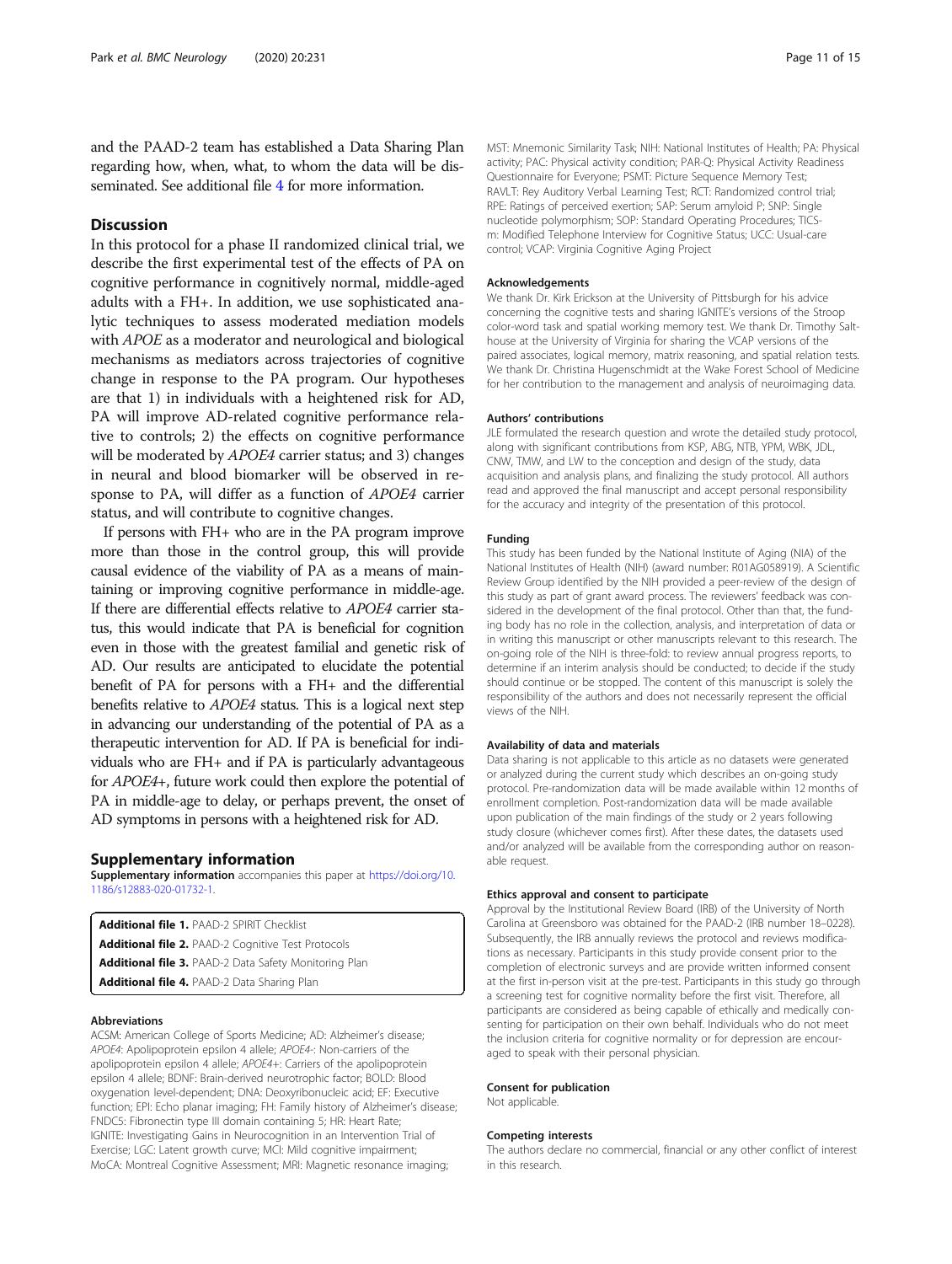<span id="page-10-0"></span>and the PAAD-2 team has established a Data Sharing Plan regarding how, when, what, to whom the data will be disseminated. See additional file 4 for more information.

### Discussion

In this protocol for a phase II randomized clinical trial, we describe the first experimental test of the effects of PA on cognitive performance in cognitively normal, middle-aged adults with a FH+. In addition, we use sophisticated analytic techniques to assess moderated mediation models with APOE as a moderator and neurological and biological mechanisms as mediators across trajectories of cognitive change in response to the PA program. Our hypotheses are that 1) in individuals with a heightened risk for AD, PA will improve AD-related cognitive performance relative to controls; 2) the effects on cognitive performance will be moderated by *APOE4* carrier status; and 3) changes in neural and blood biomarker will be observed in response to PA, will differ as a function of APOE4 carrier status, and will contribute to cognitive changes.

If persons with FH+ who are in the PA program improve more than those in the control group, this will provide causal evidence of the viability of PA as a means of maintaining or improving cognitive performance in middle-age. If there are differential effects relative to APOE4 carrier status, this would indicate that PA is beneficial for cognition even in those with the greatest familial and genetic risk of AD. Our results are anticipated to elucidate the potential benefit of PA for persons with a FH+ and the differential benefits relative to APOE4 status. This is a logical next step in advancing our understanding of the potential of PA as a therapeutic intervention for AD. If PA is beneficial for individuals who are FH+ and if PA is particularly advantageous for APOE4+, future work could then explore the potential of PA in middle-age to delay, or perhaps prevent, the onset of AD symptoms in persons with a heightened risk for AD.

#### Supplementary information

Supplementary information accompanies this paper at [https://doi.org/10.](https://doi.org/10.1186/s12883-020-01732-1) [1186/s12883-020-01732-1](https://doi.org/10.1186/s12883-020-01732-1).

Additional file 1. PAAD-2 SPIRIT Checklist Additional file 2. PAAD-2 Cognitive Test Protocols Additional file 3. PAAD-2 Data Safety Monitoring Plan Additional file 4. PAAD-2 Data Sharing Plan

#### Abbreviations

ACSM: American College of Sports Medicine; AD: Alzheimer's disease; APOE4: Apolipoprotein epsilon 4 allele; APOE4-: Non-carriers of the apolipoprotein epsilon 4 allele; APOE4+: Carriers of the apolipoprotein epsilon 4 allele; BDNF: Brain-derived neurotrophic factor; BOLD: Blood oxygenation level-dependent; DNA: Deoxyribonucleic acid; EF: Executive function; EPI: Echo planar imaging; FH: Family history of Alzheimer's disease; FNDC5: Fibronectin type III domain containing 5; HR: Heart Rate; IGNITE: Investigating Gains in Neurocognition in an Intervention Trial of Exercise; LGC: Latent growth curve; MCI: Mild cognitive impairment; MoCA: Montreal Cognitive Assessment; MRI: Magnetic resonance imaging;

MST: Mnemonic Similarity Task; NIH: National Institutes of Health; PA: Physical activity; PAC: Physical activity condition; PAR-Q: Physical Activity Readiness Questionnaire for Everyone; PSMT: Picture Sequence Memory Test; RAVLT: Rey Auditory Verbal Learning Test; RCT: Randomized control trial; RPE: Ratings of perceived exertion; SAP: Serum amyloid P; SNP: Single nucleotide polymorphism; SOP: Standard Operating Procedures; TICSm: Modified Telephone Interview for Cognitive Status; UCC: Usual-care control; VCAP: Virginia Cognitive Aging Project

#### Acknowledgements

We thank Dr. Kirk Erickson at the University of Pittsburgh for his advice concerning the cognitive tests and sharing IGNITE's versions of the Stroop color-word task and spatial working memory test. We thank Dr. Timothy Salthouse at the University of Virginia for sharing the VCAP versions of the paired associates, logical memory, matrix reasoning, and spatial relation tests. We thank Dr. Christina Hugenschmidt at the Wake Forest School of Medicine for her contribution to the management and analysis of neuroimaging data.

#### Authors' contributions

JLE formulated the research question and wrote the detailed study protocol, along with significant contributions from KSP, ABG, NTB, YPM, WBK, JDL, CNW, TMW, and LW to the conception and design of the study, data acquisition and analysis plans, and finalizing the study protocol. All authors read and approved the final manuscript and accept personal responsibility for the accuracy and integrity of the presentation of this protocol.

#### Funding

This study has been funded by the National Institute of Aging (NIA) of the National Institutes of Health (NIH) (award number: R01AG058919). A Scientific Review Group identified by the NIH provided a peer-review of the design of this study as part of grant award process. The reviewers' feedback was considered in the development of the final protocol. Other than that, the funding body has no role in the collection, analysis, and interpretation of data or in writing this manuscript or other manuscripts relevant to this research. The on-going role of the NIH is three-fold: to review annual progress reports, to determine if an interim analysis should be conducted; to decide if the study should continue or be stopped. The content of this manuscript is solely the responsibility of the authors and does not necessarily represent the official views of the NIH.

#### Availability of data and materials

Data sharing is not applicable to this article as no datasets were generated or analyzed during the current study which describes an on-going study protocol. Pre-randomization data will be made available within 12 months of enrollment completion. Post-randomization data will be made available upon publication of the main findings of the study or 2 years following study closure (whichever comes first). After these dates, the datasets used and/or analyzed will be available from the corresponding author on reasonable request.

#### Ethics approval and consent to participate

Approval by the Institutional Review Board (IRB) of the University of North Carolina at Greensboro was obtained for the PAAD-2 (IRB number 18–0228). Subsequently, the IRB annually reviews the protocol and reviews modifications as necessary. Participants in this study provide consent prior to the completion of electronic surveys and are provide written informed consent at the first in-person visit at the pre-test. Participants in this study go through a screening test for cognitive normality before the first visit. Therefore, all participants are considered as being capable of ethically and medically consenting for participation on their own behalf. Individuals who do not meet the inclusion criteria for cognitive normality or for depression are encouraged to speak with their personal physician.

#### Consent for publication

Not applicable.

#### Competing interests

The authors declare no commercial, financial or any other conflict of interest in this research.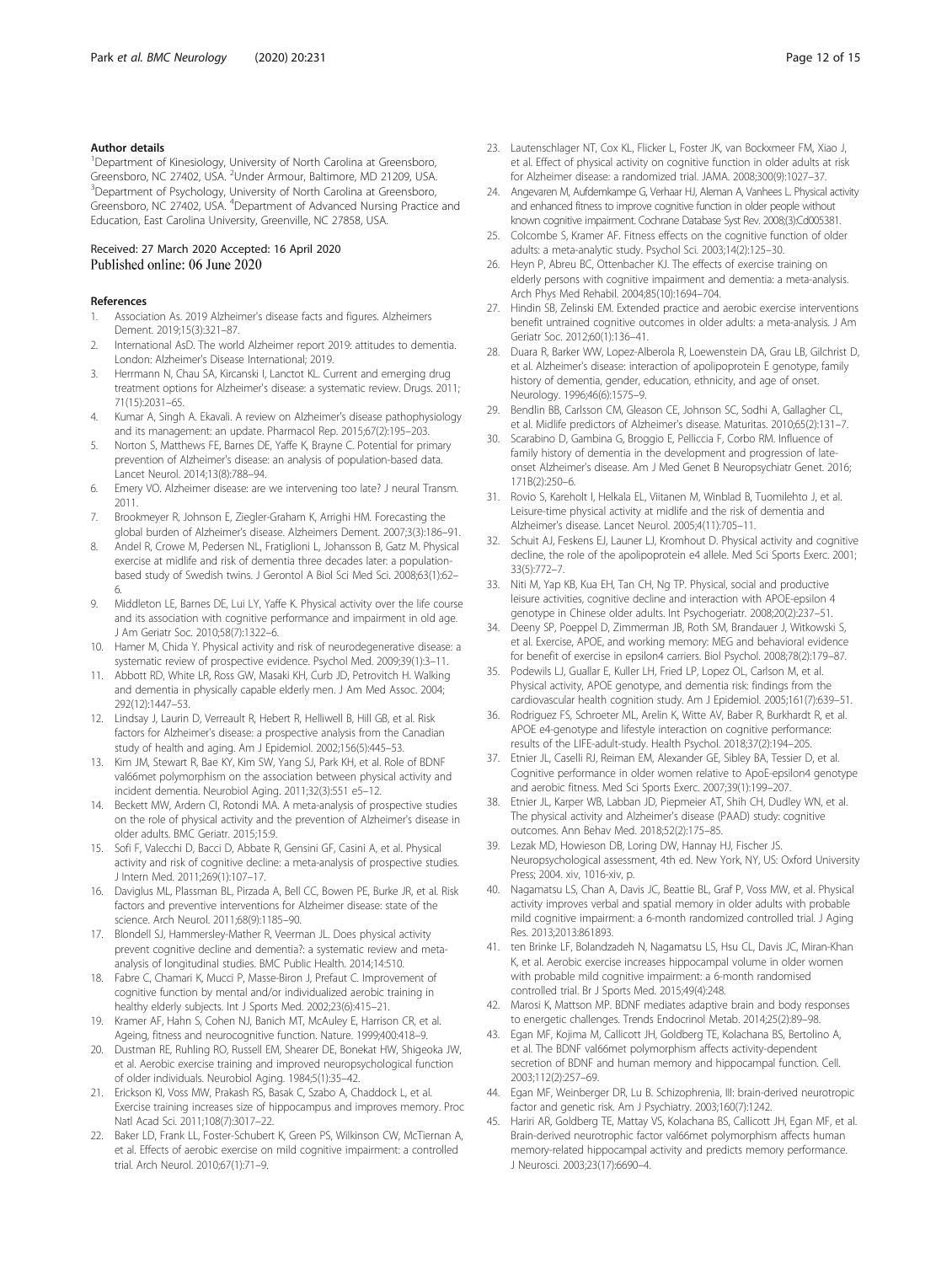#### <span id="page-11-0"></span>Author details

<sup>1</sup>Department of Kinesiology, University of North Carolina at Greensboro, Greensboro, NC 27402, USA. <sup>2</sup>Under Armour, Baltimore, MD 21209, USA.<br><sup>3</sup>Denartment of Psychology, University of North Carolina at Greensboro. <sup>3</sup>Department of Psychology, University of North Carolina at Greensboro, Greensboro, NC 27402, USA. <sup>4</sup>Department of Advanced Nursing Practice and Education, East Carolina University, Greenville, NC 27858, USA.

#### Received: 27 March 2020 Accepted: 16 April 2020 Published online: 06 June 2020

#### References

- 1. Association As. 2019 Alzheimer's disease facts and figures. Alzheimers Dement. 2019;15(3):321–87.
- 2. International AsD. The world Alzheimer report 2019: attitudes to dementia. London: Alzheimer's Disease International; 2019.
- 3. Herrmann N, Chau SA, Kircanski I, Lanctot KL. Current and emerging drug treatment options for Alzheimer's disease: a systematic review. Drugs. 2011; 71(15):2031–65.
- 4. Kumar A, Singh A. Ekavali. A review on Alzheimer's disease pathophysiology and its management: an update. Pharmacol Rep. 2015;67(2):195–203.
- 5. Norton S, Matthews FE, Barnes DE, Yaffe K, Brayne C. Potential for primary prevention of Alzheimer's disease: an analysis of population-based data. Lancet Neurol. 2014;13(8):788–94.
- 6. Emery VO. Alzheimer disease: are we intervening too late? J neural Transm. 2011.
- 7. Brookmeyer R, Johnson E, Ziegler-Graham K, Arrighi HM. Forecasting the global burden of Alzheimer's disease. Alzheimers Dement. 2007;3(3):186–91.
- 8. Andel R, Crowe M, Pedersen NL, Fratiglioni L, Johansson B, Gatz M. Physical exercise at midlife and risk of dementia three decades later: a populationbased study of Swedish twins. J Gerontol A Biol Sci Med Sci. 2008;63(1):62– 6.
- 9. Middleton LE, Barnes DE, Lui LY, Yaffe K. Physical activity over the life course and its association with cognitive performance and impairment in old age. J Am Geriatr Soc. 2010;58(7):1322–6.
- 10. Hamer M, Chida Y. Physical activity and risk of neurodegenerative disease: a systematic review of prospective evidence. Psychol Med. 2009;39(1):3–11.
- 11. Abbott RD, White LR, Ross GW, Masaki KH, Curb JD, Petrovitch H. Walking and dementia in physically capable elderly men. J Am Med Assoc. 2004; 292(12):1447–53.
- 12. Lindsay J, Laurin D, Verreault R, Hebert R, Helliwell B, Hill GB, et al. Risk factors for Alzheimer's disease: a prospective analysis from the Canadian study of health and aging. Am J Epidemiol. 2002;156(5):445–53.
- 13. Kim JM, Stewart R, Bae KY, Kim SW, Yang SJ, Park KH, et al. Role of BDNF val66met polymorphism on the association between physical activity and incident dementia. Neurobiol Aging. 2011;32(3):551 e5–12.
- 14. Beckett MW, Ardern CI, Rotondi MA. A meta-analysis of prospective studies on the role of physical activity and the prevention of Alzheimer's disease in older adults. BMC Geriatr. 2015;15:9.
- 15. Sofi F, Valecchi D, Bacci D, Abbate R, Gensini GF, Casini A, et al. Physical activity and risk of cognitive decline: a meta-analysis of prospective studies. J Intern Med. 2011;269(1):107–17.
- 16. Daviglus ML, Plassman BL, Pirzada A, Bell CC, Bowen PE, Burke JR, et al. Risk factors and preventive interventions for Alzheimer disease: state of the science. Arch Neurol. 2011;68(9):1185–90.
- 17. Blondell SJ, Hammersley-Mather R, Veerman JL. Does physical activity prevent cognitive decline and dementia?: a systematic review and metaanalysis of longitudinal studies. BMC Public Health. 2014;14:510.
- 18. Fabre C, Chamari K, Mucci P, Masse-Biron J, Prefaut C. Improvement of cognitive function by mental and/or individualized aerobic training in healthy elderly subjects. Int J Sports Med. 2002;23(6):415–21.
- 19. Kramer AF, Hahn S, Cohen NJ, Banich MT, McAuley E, Harrison CR, et al. Ageing, fitness and neurocognitive function. Nature. 1999;400:418–9.
- 20. Dustman RE, Ruhling RO, Russell EM, Shearer DE, Bonekat HW, Shigeoka JW, et al. Aerobic exercise training and improved neuropsychological function of older individuals. Neurobiol Aging. 1984;5(1):35–42.
- 21. Erickson KI, Voss MW, Prakash RS, Basak C, Szabo A, Chaddock L, et al. Exercise training increases size of hippocampus and improves memory. Proc Natl Acad Sci. 2011;108(7):3017–22.
- 22. Baker LD, Frank LL, Foster-Schubert K, Green PS, Wilkinson CW, McTiernan A, et al. Effects of aerobic exercise on mild cognitive impairment: a controlled trial. Arch Neurol. 2010;67(1):71–9.
- 23. Lautenschlager NT, Cox KL, Flicker L, Foster JK, van Bockxmeer FM, Xiao J, et al. Effect of physical activity on cognitive function in older adults at risk for Alzheimer disease: a randomized trial. JAMA. 2008;300(9):1027–37.
- 24. Angevaren M, Aufdemkampe G, Verhaar HJ, Aleman A, Vanhees L. Physical activity and enhanced fitness to improve cognitive function in older people without known cognitive impairment. Cochrane Database Syst Rev. 2008;(3):Cd005381.
- 25. Colcombe S, Kramer AF. Fitness effects on the cognitive function of older adults: a meta-analytic study. Psychol Sci. 2003;14(2):125–30.
- 26. Heyn P, Abreu BC, Ottenbacher KJ. The effects of exercise training on elderly persons with cognitive impairment and dementia: a meta-analysis. Arch Phys Med Rehabil. 2004;85(10):1694–704.
- 27. Hindin SB, Zelinski EM. Extended practice and aerobic exercise interventions benefit untrained cognitive outcomes in older adults: a meta-analysis. J Am Geriatr Soc. 2012;60(1):136–41.
- 28. Duara R, Barker WW, Lopez-Alberola R, Loewenstein DA, Grau LB, Gilchrist D, et al. Alzheimer's disease: interaction of apolipoprotein E genotype, family history of dementia, gender, education, ethnicity, and age of onset. Neurology. 1996;46(6):1575–9.
- 29. Bendlin BB, Carlsson CM, Gleason CE, Johnson SC, Sodhi A, Gallagher CL, et al. Midlife predictors of Alzheimer's disease. Maturitas. 2010;65(2):131–7.
- 30. Scarabino D, Gambina G, Broggio E, Pelliccia F, Corbo RM. Influence of family history of dementia in the development and progression of lateonset Alzheimer's disease. Am J Med Genet B Neuropsychiatr Genet. 2016; 171B(2):250–6.
- 31. Rovio S, Kareholt I, Helkala EL, Viitanen M, Winblad B, Tuomilehto J, et al. Leisure-time physical activity at midlife and the risk of dementia and Alzheimer's disease. Lancet Neurol. 2005;4(11):705–11.
- 32. Schuit AJ, Feskens EJ, Launer LJ, Kromhout D. Physical activity and cognitive decline, the role of the apolipoprotein e4 allele. Med Sci Sports Exerc. 2001; 33(5):772–7.
- 33. Niti M, Yap KB, Kua EH, Tan CH, Ng TP. Physical, social and productive leisure activities, cognitive decline and interaction with APOE-epsilon 4 genotype in Chinese older adults. Int Psychogeriatr. 2008;20(2):237–51.
- 34. Deeny SP, Poeppel D, Zimmerman JB, Roth SM, Brandauer J, Witkowski S, et al. Exercise, APOE, and working memory: MEG and behavioral evidence for benefit of exercise in epsilon4 carriers. Biol Psychol. 2008;78(2):179–87.
- 35. Podewils LJ, Guallar E, Kuller LH, Fried LP, Lopez OL, Carlson M, et al. Physical activity, APOE genotype, and dementia risk: findings from the cardiovascular health cognition study. Am J Epidemiol. 2005;161(7):639–51.
- 36. Rodriguez FS, Schroeter ML, Arelin K, Witte AV, Baber R, Burkhardt R, et al. APOE e4-genotype and lifestyle interaction on cognitive performance: results of the LIFE-adult-study. Health Psychol. 2018;37(2):194–205.
- Etnier JL, Caselli RJ, Reiman EM, Alexander GE, Sibley BA, Tessier D, et al. Cognitive performance in older women relative to ApoE-epsilon4 genotype and aerobic fitness. Med Sci Sports Exerc. 2007;39(1):199–207.
- 38. Etnier JL, Karper WB, Labban JD, Piepmeier AT, Shih CH, Dudley WN, et al. The physical activity and Alzheimer's disease (PAAD) study: cognitive outcomes. Ann Behav Med. 2018;52(2):175–85.
- 39. Lezak MD, Howieson DB, Loring DW, Hannay HJ, Fischer JS. Neuropsychological assessment, 4th ed. New York, NY, US: Oxford University Press; 2004. xiv, 1016-xiv, p.
- 40. Nagamatsu LS, Chan A, Davis JC, Beattie BL, Graf P, Voss MW, et al. Physical activity improves verbal and spatial memory in older adults with probable mild cognitive impairment: a 6-month randomized controlled trial. J Aging Res. 2013;2013:861893.
- 41. ten Brinke LF, Bolandzadeh N, Nagamatsu LS, Hsu CL, Davis JC, Miran-Khan K, et al. Aerobic exercise increases hippocampal volume in older women with probable mild cognitive impairment: a 6-month randomised controlled trial. Br J Sports Med. 2015;49(4):248.
- 42. Marosi K, Mattson MP. BDNF mediates adaptive brain and body responses to energetic challenges. Trends Endocrinol Metab. 2014;25(2):89–98.
- 43. Egan MF, Kojima M, Callicott JH, Goldberg TE, Kolachana BS, Bertolino A, et al. The BDNF val66met polymorphism affects activity-dependent secretion of BDNF and human memory and hippocampal function. Cell. 2003;112(2):257–69.
- 44. Egan MF, Weinberger DR, Lu B. Schizophrenia, III: brain-derived neurotropic factor and genetic risk. Am J Psychiatry. 2003;160(7):1242.
- 45. Hariri AR, Goldberg TE, Mattay VS, Kolachana BS, Callicott JH, Egan MF, et al. Brain-derived neurotrophic factor val66met polymorphism affects human memory-related hippocampal activity and predicts memory performance. J Neurosci. 2003;23(17):6690–4.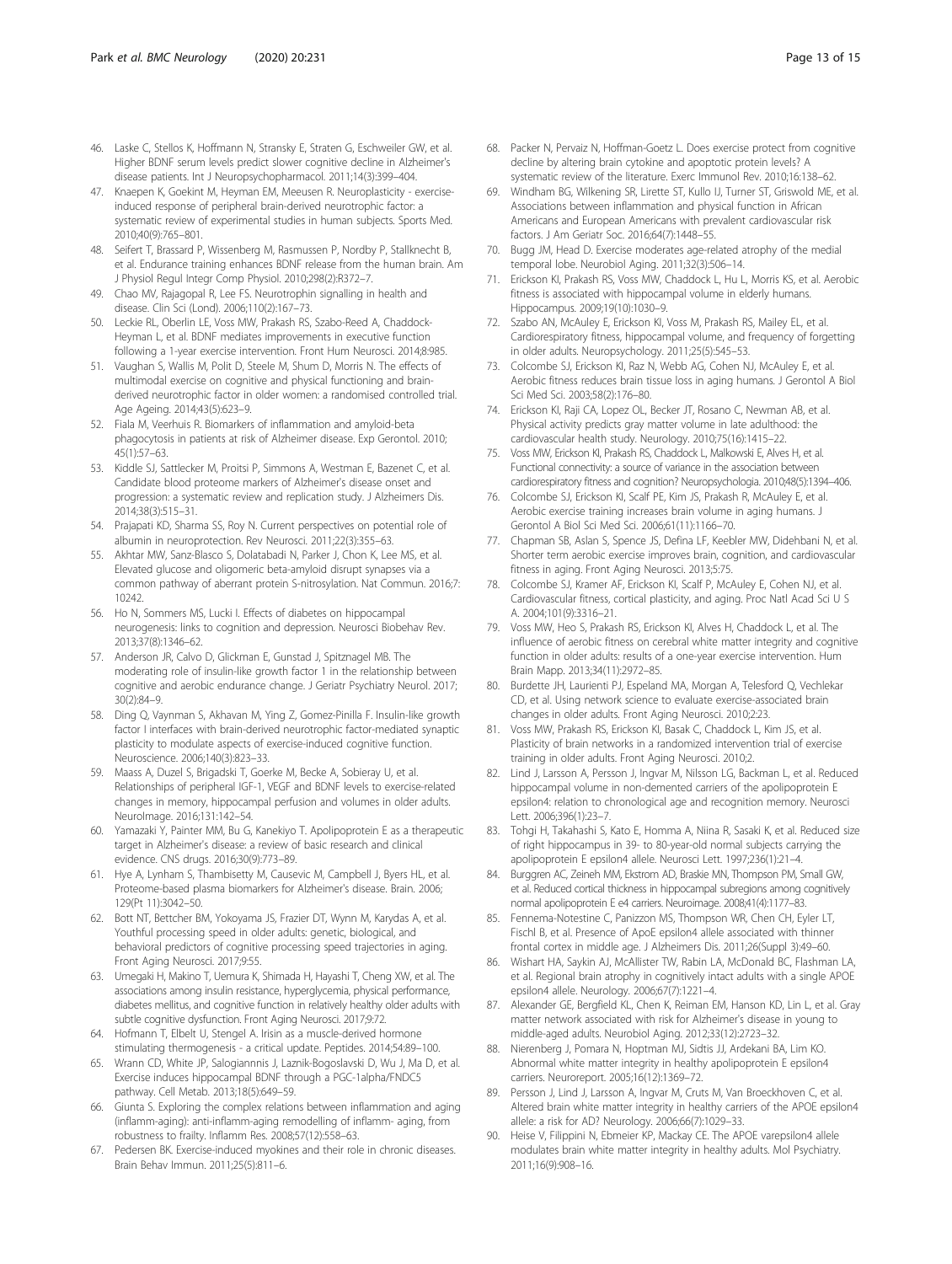- <span id="page-12-0"></span>46. Laske C, Stellos K, Hoffmann N, Stransky E, Straten G, Eschweiler GW, et al. Higher BDNF serum levels predict slower cognitive decline in Alzheimer's disease patients. Int J Neuropsychopharmacol. 2011;14(3):399–404.
- 47. Knaepen K, Goekint M, Heyman EM, Meeusen R. Neuroplasticity exerciseinduced response of peripheral brain-derived neurotrophic factor: a systematic review of experimental studies in human subjects. Sports Med. 2010;40(9):765–801.
- 48. Seifert T, Brassard P, Wissenberg M, Rasmussen P, Nordby P, Stallknecht B, et al. Endurance training enhances BDNF release from the human brain. Am J Physiol Regul Integr Comp Physiol. 2010;298(2):R372–7.
- 49. Chao MV, Rajagopal R, Lee FS. Neurotrophin signalling in health and disease. Clin Sci (Lond). 2006;110(2):167–73.
- 50. Leckie RL, Oberlin LE, Voss MW, Prakash RS, Szabo-Reed A, Chaddock-Heyman L, et al. BDNF mediates improvements in executive function following a 1-year exercise intervention. Front Hum Neurosci. 2014;8:985.
- 51. Vaughan S, Wallis M, Polit D, Steele M, Shum D, Morris N. The effects of multimodal exercise on cognitive and physical functioning and brainderived neurotrophic factor in older women: a randomised controlled trial. Age Ageing. 2014;43(5):623–9.
- 52. Fiala M, Veerhuis R. Biomarkers of inflammation and amyloid-beta phagocytosis in patients at risk of Alzheimer disease. Exp Gerontol. 2010; 45(1):57–63.
- 53. Kiddle SJ, Sattlecker M, Proitsi P, Simmons A, Westman E, Bazenet C, et al. Candidate blood proteome markers of Alzheimer's disease onset and progression: a systematic review and replication study. J Alzheimers Dis. 2014;38(3):515–31.
- 54. Prajapati KD, Sharma SS, Roy N. Current perspectives on potential role of albumin in neuroprotection. Rev Neurosci. 2011;22(3):355–63.
- 55. Akhtar MW, Sanz-Blasco S, Dolatabadi N, Parker J, Chon K, Lee MS, et al. Elevated glucose and oligomeric beta-amyloid disrupt synapses via a common pathway of aberrant protein S-nitrosylation. Nat Commun. 2016;7: 10242.
- 56. Ho N, Sommers MS, Lucki I. Effects of diabetes on hippocampal neurogenesis: links to cognition and depression. Neurosci Biobehav Rev. 2013;37(8):1346–62.
- 57. Anderson JR, Calvo D, Glickman E, Gunstad J, Spitznagel MB. The moderating role of insulin-like growth factor 1 in the relationship between cognitive and aerobic endurance change. J Geriatr Psychiatry Neurol. 2017; 30(2):84–9.
- 58. Ding Q, Vaynman S, Akhavan M, Ying Z, Gomez-Pinilla F. Insulin-like growth factor I interfaces with brain-derived neurotrophic factor-mediated synaptic plasticity to modulate aspects of exercise-induced cognitive function. Neuroscience. 2006;140(3):823–33.
- 59. Maass A, Duzel S, Brigadski T, Goerke M, Becke A, Sobieray U, et al. Relationships of peripheral IGF-1, VEGF and BDNF levels to exercise-related changes in memory, hippocampal perfusion and volumes in older adults. NeuroImage. 2016;131:142–54.
- 60. Yamazaki Y, Painter MM, Bu G, Kanekiyo T. Apolipoprotein E as a therapeutic target in Alzheimer's disease: a review of basic research and clinical evidence. CNS drugs. 2016;30(9):773–89.
- 61. Hye A, Lynham S, Thambisetty M, Causevic M, Campbell J, Byers HL, et al. Proteome-based plasma biomarkers for Alzheimer's disease. Brain. 2006; 129(Pt 11):3042–50.
- 62. Bott NT, Bettcher BM, Yokoyama JS, Frazier DT, Wynn M, Karydas A, et al. Youthful processing speed in older adults: genetic, biological, and behavioral predictors of cognitive processing speed trajectories in aging. Front Aging Neurosci. 2017;9:55.
- 63. Umegaki H, Makino T, Uemura K, Shimada H, Hayashi T, Cheng XW, et al. The associations among insulin resistance, hyperglycemia, physical performance, diabetes mellitus, and cognitive function in relatively healthy older adults with subtle cognitive dysfunction. Front Aging Neurosci. 2017;9:72.
- 64. Hofmann T, Elbelt U, Stengel A. Irisin as a muscle-derived hormone stimulating thermogenesis - a critical update. Peptides. 2014;54:89–100.
- 65. Wrann CD, White JP, Salogiannnis J, Laznik-Bogoslavski D, Wu J, Ma D, et al. Exercise induces hippocampal BDNF through a PGC-1alpha/FNDC5 pathway. Cell Metab. 2013;18(5):649–59.
- 66. Giunta S. Exploring the complex relations between inflammation and aging (inflamm-aging): anti-inflamm-aging remodelling of inflamm- aging, from robustness to frailty. Inflamm Res. 2008;57(12):558–63.
- 67. Pedersen BK. Exercise-induced myokines and their role in chronic diseases. Brain Behav Immun. 2011;25(5):811–6.
- 68. Packer N, Pervaiz N, Hoffman-Goetz L. Does exercise protect from cognitive decline by altering brain cytokine and apoptotic protein levels? A systematic review of the literature. Exerc Immunol Rev. 2010;16:138–62.
- 69. Windham BG, Wilkening SR, Lirette ST, Kullo IJ, Turner ST, Griswold ME, et al. Associations between inflammation and physical function in African Americans and European Americans with prevalent cardiovascular risk factors. J Am Geriatr Soc. 2016;64(7):1448–55.
- 70. Bugg JM, Head D. Exercise moderates age-related atrophy of the medial temporal lobe. Neurobiol Aging. 2011;32(3):506–14.
- 71. Erickson KI, Prakash RS, Voss MW, Chaddock L, Hu L, Morris KS, et al. Aerobic fitness is associated with hippocampal volume in elderly humans. Hippocampus. 2009;19(10):1030–9.
- 72. Szabo AN, McAuley E, Erickson KI, Voss M, Prakash RS, Mailey EL, et al. Cardiorespiratory fitness, hippocampal volume, and frequency of forgetting in older adults. Neuropsychology. 2011;25(5):545–53.
- 73. Colcombe SJ, Erickson KI, Raz N, Webb AG, Cohen NJ, McAuley E, et al. Aerobic fitness reduces brain tissue loss in aging humans. J Gerontol A Biol Sci Med Sci. 2003;58(2):176–80.
- 74. Erickson KI, Raji CA, Lopez OL, Becker JT, Rosano C, Newman AB, et al. Physical activity predicts gray matter volume in late adulthood: the cardiovascular health study. Neurology. 2010;75(16):1415–22.
- 75. Voss MW, Erickson KI, Prakash RS, Chaddock L, Malkowski E, Alves H, et al. Functional connectivity: a source of variance in the association between cardiorespiratory fitness and cognition? Neuropsychologia. 2010;48(5):1394–406.
- 76. Colcombe SJ, Erickson KI, Scalf PE, Kim JS, Prakash R, McAuley E, et al. Aerobic exercise training increases brain volume in aging humans. J Gerontol A Biol Sci Med Sci. 2006;61(11):1166–70.
- 77. Chapman SB, Aslan S, Spence JS, Defina LF, Keebler MW, Didehbani N, et al. Shorter term aerobic exercise improves brain, cognition, and cardiovascular fitness in aging. Front Aging Neurosci. 2013;5:75.
- 78. Colcombe SJ, Kramer AF, Erickson KI, Scalf P, McAuley E, Cohen NJ, et al. Cardiovascular fitness, cortical plasticity, and aging. Proc Natl Acad Sci U S A. 2004;101(9):3316–21.
- 79. Voss MW, Heo S, Prakash RS, Erickson KI, Alves H, Chaddock L, et al. The influence of aerobic fitness on cerebral white matter integrity and cognitive function in older adults: results of a one-year exercise intervention. Hum Brain Mapp. 2013;34(11):2972–85.
- 80. Burdette JH, Laurienti PJ, Espeland MA, Morgan A, Telesford Q, Vechlekar CD, et al. Using network science to evaluate exercise-associated brain changes in older adults. Front Aging Neurosci. 2010;2:23.
- 81. Voss MW, Prakash RS, Erickson KI, Basak C, Chaddock L, Kim JS, et al. Plasticity of brain networks in a randomized intervention trial of exercise training in older adults. Front Aging Neurosci. 2010;2.
- 82. Lind J, Larsson A, Persson J, Ingvar M, Nilsson LG, Backman L, et al. Reduced hippocampal volume in non-demented carriers of the apolipoprotein E epsilon4: relation to chronological age and recognition memory. Neurosci Lett. 2006;396(1):23–7.
- 83. Tohgi H, Takahashi S, Kato E, Homma A, Niina R, Sasaki K, et al. Reduced size of right hippocampus in 39- to 80-year-old normal subjects carrying the apolipoprotein E epsilon4 allele. Neurosci Lett. 1997;236(1):21–4.
- 84. Burggren AC, Zeineh MM, Ekstrom AD, Braskie MN, Thompson PM, Small GW, et al. Reduced cortical thickness in hippocampal subregions among cognitively normal apolipoprotein E e4 carriers. Neuroimage. 2008;41(4):1177–83.
- 85. Fennema-Notestine C, Panizzon MS, Thompson WR, Chen CH, Eyler LT, Fischl B, et al. Presence of ApoE epsilon4 allele associated with thinner frontal cortex in middle age. J Alzheimers Dis. 2011;26(Suppl 3):49–60.
- 86. Wishart HA, Saykin AJ, McAllister TW, Rabin LA, McDonald BC, Flashman LA, et al. Regional brain atrophy in cognitively intact adults with a single APOE epsilon4 allele. Neurology. 2006;67(7):1221–4.
- 87. Alexander GE, Bergfield KL, Chen K, Reiman EM, Hanson KD, Lin L, et al. Gray matter network associated with risk for Alzheimer's disease in young to middle-aged adults. Neurobiol Aging. 2012;33(12):2723–32.
- 88. Nierenberg J, Pomara N, Hoptman MJ, Sidtis JJ, Ardekani BA, Lim KO. Abnormal white matter integrity in healthy apolipoprotein E epsilon4 carriers. Neuroreport. 2005;16(12):1369–72.
- 89. Persson J, Lind J, Larsson A, Ingvar M, Cruts M, Van Broeckhoven C, et al. Altered brain white matter integrity in healthy carriers of the APOE epsilon4 allele: a risk for AD? Neurology. 2006;66(7):1029–33.
- 90. Heise V, Filippini N, Ebmeier KP, Mackay CE. The APOE varepsilon4 allele modulates brain white matter integrity in healthy adults. Mol Psychiatry. 2011;16(9):908–16.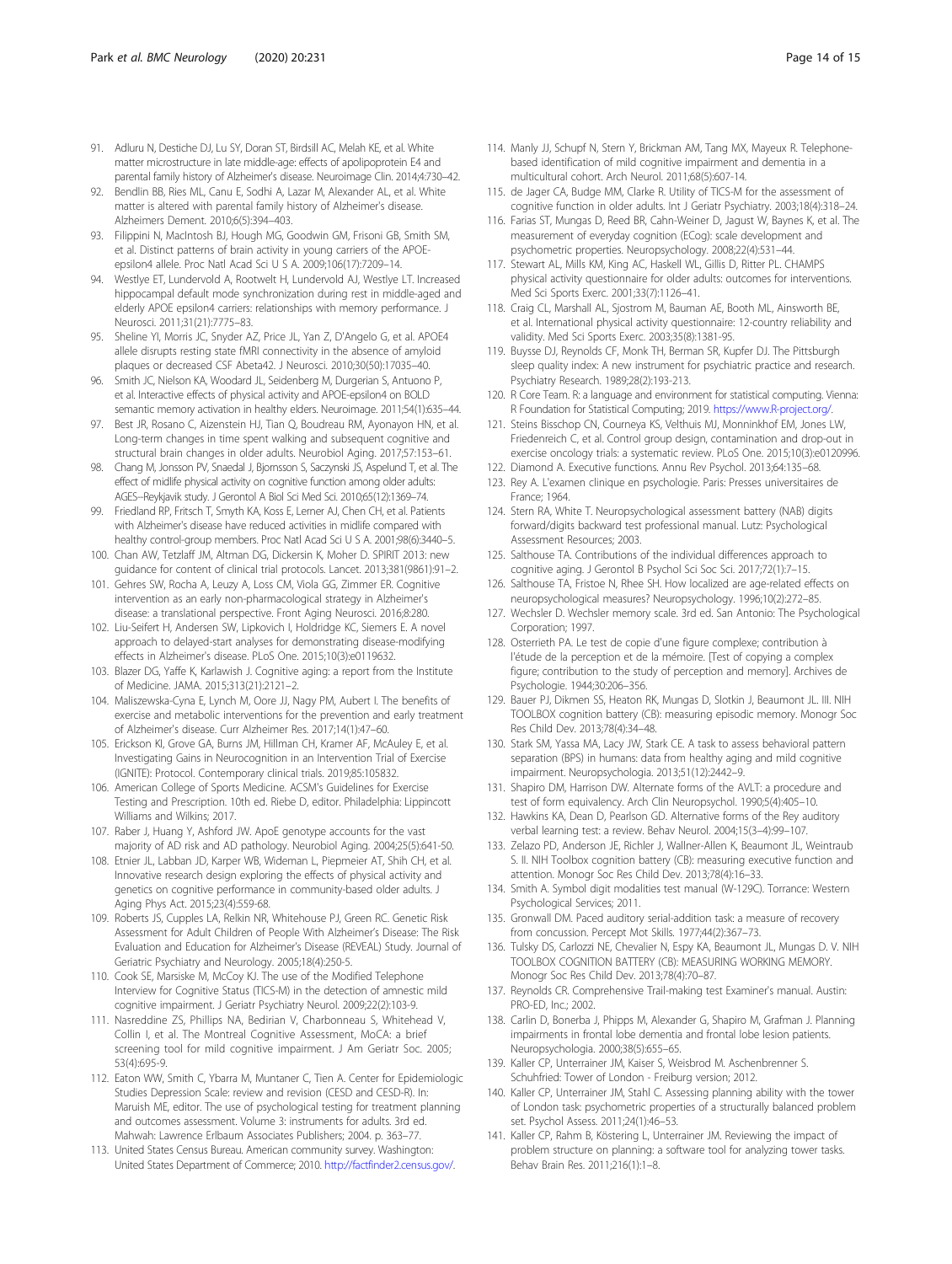- <span id="page-13-0"></span>91. Adluru N, Destiche DJ, Lu SY, Doran ST, Birdsill AC, Melah KE, et al. White matter microstructure in late middle-age: effects of apolipoprotein E4 and parental family history of Alzheimer's disease. Neuroimage Clin. 2014;4:730–42.
- 92. Bendlin BB, Ries ML, Canu E, Sodhi A, Lazar M, Alexander AL, et al. White matter is altered with parental family history of Alzheimer's disease. Alzheimers Dement. 2010;6(5):394–403.
- 93. Filippini N, MacIntosh BJ, Hough MG, Goodwin GM, Frisoni GB, Smith SM, et al. Distinct patterns of brain activity in young carriers of the APOEepsilon4 allele. Proc Natl Acad Sci U S A. 2009;106(17):7209–14.
- 94. Westlye ET, Lundervold A, Rootwelt H, Lundervold AJ, Westlye LT. Increased hippocampal default mode synchronization during rest in middle-aged and elderly APOE epsilon4 carriers: relationships with memory performance. J Neurosci. 2011;31(21):7775–83.
- 95. Sheline YI, Morris JC, Snyder AZ, Price JL, Yan Z, D'Angelo G, et al. APOE4 allele disrupts resting state fMRI connectivity in the absence of amyloid plaques or decreased CSF Abeta42. J Neurosci. 2010;30(50):17035–40.
- 96. Smith JC, Nielson KA, Woodard JL, Seidenberg M, Durgerian S, Antuono P, et al. Interactive effects of physical activity and APOE-epsilon4 on BOLD semantic memory activation in healthy elders. Neuroimage. 2011;54(1):635–44.
- 97. Best JR, Rosano C, Aizenstein HJ, Tian Q, Boudreau RM, Ayonayon HN, et al. Long-term changes in time spent walking and subsequent cognitive and structural brain changes in older adults. Neurobiol Aging. 2017;57:153–61.
- 98. Chang M, Jonsson PV, Snaedal J, Bjornsson S, Saczynski JS, Aspelund T, et al. The effect of midlife physical activity on cognitive function among older adults: AGES--Reykjavik study. J Gerontol A Biol Sci Med Sci. 2010;65(12):1369–74.
- 99. Friedland RP, Fritsch T, Smyth KA, Koss E, Lerner AJ, Chen CH, et al. Patients with Alzheimer's disease have reduced activities in midlife compared with healthy control-group members. Proc Natl Acad Sci U S A. 2001;98(6):3440–5.
- 100. Chan AW, Tetzlaff JM, Altman DG, Dickersin K, Moher D. SPIRIT 2013: new guidance for content of clinical trial protocols. Lancet. 2013;381(9861):91–2.
- 101. Gehres SW, Rocha A, Leuzy A, Loss CM, Viola GG, Zimmer ER. Cognitive intervention as an early non-pharmacological strategy in Alzheimer's disease: a translational perspective. Front Aging Neurosci. 2016;8:280.
- 102. Liu-Seifert H, Andersen SW, Lipkovich I, Holdridge KC, Siemers E. A novel approach to delayed-start analyses for demonstrating disease-modifying effects in Alzheimer's disease. PLoS One. 2015;10(3):e0119632.
- 103. Blazer DG, Yaffe K, Karlawish J. Cognitive aging: a report from the Institute of Medicine. JAMA. 2015;313(21):2121–2.
- 104. Maliszewska-Cyna E, Lynch M, Oore JJ, Nagy PM, Aubert I. The benefits of exercise and metabolic interventions for the prevention and early treatment of Alzheimer's disease. Curr Alzheimer Res. 2017;14(1):47–60.
- 105. Erickson KI, Grove GA, Burns JM, Hillman CH, Kramer AF, McAuley E, et al. Investigating Gains in Neurocognition in an Intervention Trial of Exercise (IGNITE): Protocol. Contemporary clinical trials. 2019;85:105832.
- 106. American College of Sports Medicine. ACSM's Guidelines for Exercise Testing and Prescription. 10th ed. Riebe D, editor. Philadelphia: Lippincott Williams and Wilkins; 2017.
- 107. Raber J, Huang Y, Ashford JW. ApoE genotype accounts for the vast majority of AD risk and AD pathology. Neurobiol Aging. 2004;25(5):641-50.
- 108. Etnier JL, Labban JD, Karper WB, Wideman L, Piepmeier AT, Shih CH, et al. Innovative research design exploring the effects of physical activity and genetics on cognitive performance in community-based older adults. J Aging Phys Act. 2015;23(4):559-68.
- 109. Roberts JS, Cupples LA, Relkin NR, Whitehouse PJ, Green RC. Genetic Risk Assessment for Adult Children of People With Alzheimer's Disease: The Risk Evaluation and Education for Alzheimer's Disease (REVEAL) Study. Journal of Geriatric Psychiatry and Neurology. 2005;18(4):250-5.
- 110. Cook SE, Marsiske M, McCoy KJ. The use of the Modified Telephone Interview for Cognitive Status (TICS-M) in the detection of amnestic mild cognitive impairment. J Geriatr Psychiatry Neurol. 2009;22(2):103-9.
- 111. Nasreddine ZS, Phillips NA, Bedirian V, Charbonneau S, Whitehead V, Collin I, et al. The Montreal Cognitive Assessment, MoCA: a brief screening tool for mild cognitive impairment. J Am Geriatr Soc. 2005; 53(4):695-9.
- 112. Eaton WW, Smith C, Ybarra M, Muntaner C, Tien A. Center for Epidemiologic Studies Depression Scale: review and revision (CESD and CESD-R). In: Maruish ME, editor. The use of psychological testing for treatment planning and outcomes assessment. Volume 3: instruments for adults. 3rd ed. Mahwah: Lawrence Erlbaum Associates Publishers; 2004. p. 363–77.
- 113. United States Census Bureau. American community survey. Washington: United States Department of Commerce; 2010. [http://factfinder2.census.gov/.](http://factfinder2.census.gov/)
- 114. Manly JJ, Schupf N, Stern Y, Brickman AM, Tang MX, Mayeux R. Telephonebased identification of mild cognitive impairment and dementia in a multicultural cohort. Arch Neurol. 2011;68(5):607-14.
- 115. de Jager CA, Budge MM, Clarke R. Utility of TICS-M for the assessment of cognitive function in older adults. Int J Geriatr Psychiatry. 2003;18(4):318–24.
- 116. Farias ST, Mungas D, Reed BR, Cahn-Weiner D, Jagust W, Baynes K, et al. The measurement of everyday cognition (ECog): scale development and psychometric properties. Neuropsychology. 2008;22(4):531–44.
- 117. Stewart AL, Mills KM, King AC, Haskell WL, Gillis D, Ritter PL. CHAMPS physical activity questionnaire for older adults: outcomes for interventions. Med Sci Sports Exerc. 2001;33(7):1126–41.
- 118. Craig CL, Marshall AL, Sjostrom M, Bauman AE, Booth ML, Ainsworth BE, et al. International physical activity questionnaire: 12-country reliability and validity. Med Sci Sports Exerc. 2003;35(8):1381-95.
- 119. Buysse DJ, Reynolds CF, Monk TH, Berman SR, Kupfer DJ. The Pittsburgh sleep quality index: A new instrument for psychiatric practice and research. Psychiatry Research. 1989;28(2):193-213.
- 120. R Core Team. R: a language and environment for statistical computing. Vienna: R Foundation for Statistical Computing; 2019. <https://www.R-project.org/>.
- 121. Steins Bisschop CN, Courneya KS, Velthuis MJ, Monninkhof EM, Jones LW, Friedenreich C, et al. Control group design, contamination and drop-out in exercise oncology trials: a systematic review. PLoS One. 2015;10(3):e0120996.
- 122. Diamond A. Executive functions. Annu Rev Psychol. 2013;64:135–68. 123. Rey A. L'examen clinique en psychologie. Paris: Presses universitaires de France; 1964.
- 124. Stern RA, White T. Neuropsychological assessment battery (NAB) digits forward/digits backward test professional manual. Lutz: Psychological Assessment Resources; 2003.
- 125. Salthouse TA. Contributions of the individual differences approach to cognitive aging. J Gerontol B Psychol Sci Soc Sci. 2017;72(1):7–15.
- 126. Salthouse TA, Fristoe N, Rhee SH. How localized are age-related effects on neuropsychological measures? Neuropsychology. 1996;10(2):272–85.
- 127. Wechsler D. Wechsler memory scale. 3rd ed. San Antonio: The Psychological Corporation; 1997.
- 128. Osterrieth PA. Le test de copie d'une figure complexe; contribution à l'étude de la perception et de la mémoire. [Test of copying a complex figure; contribution to the study of perception and memory]. Archives de Psychologie. 1944;30:206–356.
- 129. Bauer PJ, Dikmen SS, Heaton RK, Mungas D, Slotkin J, Beaumont JL. III. NIH TOOLBOX cognition battery (CB): measuring episodic memory. Monogr Soc Res Child Dev. 2013;78(4):34–48.
- 130. Stark SM, Yassa MA, Lacy JW, Stark CE. A task to assess behavioral pattern separation (BPS) in humans: data from healthy aging and mild cognitive impairment. Neuropsychologia. 2013;51(12):2442–9.
- 131. Shapiro DM, Harrison DW. Alternate forms of the AVLT: a procedure and test of form equivalency. Arch Clin Neuropsychol. 1990;5(4):405–10.
- 132. Hawkins KA, Dean D, Pearlson GD. Alternative forms of the Rey auditory verbal learning test: a review. Behav Neurol. 2004;15(3–4):99–107.
- 133. Zelazo PD, Anderson JE, Richler J, Wallner-Allen K, Beaumont JL, Weintraub S. II. NIH Toolbox cognition battery (CB): measuring executive function and attention. Monogr Soc Res Child Dev. 2013;78(4):16–33.
- 134. Smith A. Symbol digit modalities test manual (W-129C). Torrance: Western Psychological Services; 2011.
- 135. Gronwall DM. Paced auditory serial-addition task: a measure of recovery from concussion. Percept Mot Skills. 1977;44(2):367–73.
- 136. Tulsky DS, Carlozzi NE, Chevalier N, Espy KA, Beaumont JL, Mungas D. V. NIH TOOLBOX COGNITION BATTERY (CB): MEASURING WORKING MEMORY. Monogr Soc Res Child Dev. 2013;78(4):70–87.
- 137. Reynolds CR. Comprehensive Trail-making test Examiner's manual. Austin: PRO-ED, Inc.; 2002.
- 138. Carlin D, Bonerba J, Phipps M, Alexander G, Shapiro M, Grafman J. Planning impairments in frontal lobe dementia and frontal lobe lesion patients. Neuropsychologia. 2000;38(5):655–65.
- 139. Kaller CP, Unterrainer JM, Kaiser S, Weisbrod M. Aschenbrenner S. Schuhfried: Tower of London - Freiburg version; 2012.
- 140. Kaller CP, Unterrainer JM, Stahl C. Assessing planning ability with the tower of London task: psychometric properties of a structurally balanced problem set. Psychol Assess. 2011;24(1):46–53.
- 141. Kaller CP, Rahm B, Köstering L, Unterrainer JM. Reviewing the impact of problem structure on planning: a software tool for analyzing tower tasks. Behav Brain Res. 2011;216(1):1–8.